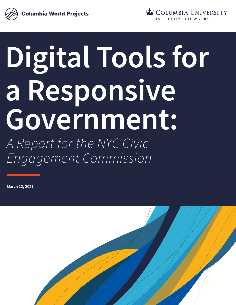



# **Digital Tools for a Responsive Government:** *A Report for the NYC Civic Engagement Commission*

**March 12, 2021**

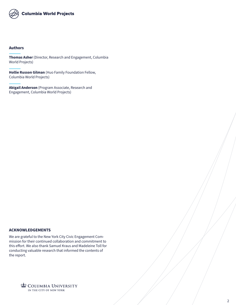

#### **Authors**

**Thomas Asher** (Director, Research and Engagement, Columbia World Projects)

**Hollie Russon Gilman** (Huo Family Foundation Fellow, Columbia World Projects)

**Abigail Anderson** (Program Associate, Research and Engagement, Columbia World Projects)

#### **ACKNOWLEDGEMENTS**

We are grateful to the New York City Civic Engagement Commission for their continued collaboration and commitment to this effort. We also thank Samuel Kraus and Madeleine Toll for conducting valuable research that informed the contents of the report.

> COLUMBIA UNIVERSITY IN THE CITY OF NEW YORK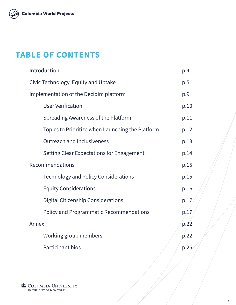

# **TABLE OF CONTENTS**

| Introduction                                     | p.4             |
|--------------------------------------------------|-----------------|
| Civic Technology, Equity and Uptake              | p.5             |
| Implementation of the Decidim platform           | p.9             |
| <b>User Verification</b>                         | p.10            |
| Spreading Awareness of the Platform              | p.11            |
| Topics to Prioritize when Launching the Platform | p.12            |
| <b>Outreach and Inclusiveness</b>                | p.13            |
| Setting Clear Expectations for Engagement        | p.14            |
| Recommendations                                  | p.15            |
| <b>Technology and Policy Considerations</b>      | p.15            |
| <b>Equity Considerations</b>                     | p.16            |
| <b>Digital Citizenship Considerations</b>        | p.17            |
| <b>Policy and Programmatic Recommendations</b>   | p <sub>47</sub> |
| Annex                                            | p.22            |
| Working group members                            | p.22            |
| Participant bios                                 | p.25            |
|                                                  |                 |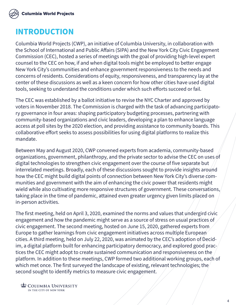

# **INTRODUCTION**

Columbia World Projects (CWP), an initiative of Columbia University, in collaboration with the School of International and Public Affairs (SIPA) and the New York City Civic Engagement Commission (CEC), hosted a series of meetings with the goal of providing high-level expert counsel to the CEC on how, if and when digital tools might be employed to better engage New York City's communities and enhance government responsiveness to the needs and concerns of residents. Considerations of equity, responsiveness, and transparency lay at the center of these discussions as well as a keen concern for how other cities have used digital tools, seeking to understand the conditions under which such efforts succeed or fail.

The CEC was established by a ballot initiative to revise the NYC Charter and approved by voters in November 2018. The Commission is charged with the task of advancing participatory governance in four areas: shaping participatory budgeting processes, partnering with community-based organizations and civic leaders, developing a plan to enhance language access at poll sites by the 2020 election, and providing assistance to community boards. This collaborative effort seeks to assess possibilities for using digital platforms to realize this mandate.

Between May and August 2020, CWP convened experts from academia, community-based organizations, government, philanthropy, and the private sector to advise the CEC on uses of digital technologies to strengthen civic engagement over the course of five separate but interrelated meetings. Broadly, each of these discussions sought to provide insights around how the CEC might build digital points of connection between New York City's diverse communities and government with the aim of enhancing the civic power that residents might wield while also cultivating more responsive structures of government. These conversations, taking place in the time of pandemic, attained even greater urgency given limits placed on in-person activities.

The first meeting, held on April 3, 2020, examined the norms and values that undergird civic engagement and how the pandemic might serve as a source of stress on usual practices of civic engagement. The second meeting, hosted on June 15, 2020, gathered experts from Europe to gather learnings from civic engagement initiatives across multiple European cities. A third meeting, held on July 22, 2020, was animated by the CEC's adoption of Decidim, a digital platform built for enhancing participatory democracy, and explored good practices the CEC might adopt to create sustained communication and responsiveness on the platform. In addition to these meetings, CWP formed two additional working groups, each of which met once. The first surveyed the landscape of existing, relevant technologies; the second sought to identify metrics to measure civic engagement.

**ED COLUMBIA UNIVERSITY** IN THE CITY OF NEW YORK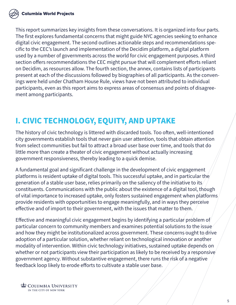This report summarizes key insights from these conversations. It is organized into four parts. The first explores fundamental concerns that might guide NYC agencies seeking to enhance digital civic engagement. The second outlines actionable steps and recommendations specific to the CEC's launch and implementation of the Decidim platform, a digital platform used by a number of governments across the world for civic engagement purposes. A third section offers recommendations the CEC might pursue that will complement efforts reliant on Decidim, as resources allow. The fourth section, the annex, contains lists of participants present at each of the discussions followed by biographies of all participants. As the convenings were held under Chatham House Rule, views have not been attributed to individual participants, even as this report aims to express areas of consensus and points of disagreement among participants.

# **I. CIVIC TECHNOLOGY, EQUITY, AND UPTAKE**

The history of civic technology is littered with discarded tools. Too often, well-intentioned city governments establish tools that never gain user attention, tools that obtain attention from select communities but fail to attract a broad user base over time, and tools that do little more than create a theater of civic engagement without actually increasing government responsiveness, thereby leading to a quick demise.

A fundamental goal and significant challenge in the development of civic engagement platforms is resident uptake of digital tools. This successful uptake, and in particular the generation of a stable user base, relies primarily on the saliency of the initiative to its constituents. Communications with the public about the existence of a digital tool, though of vital importance to increased uptake, only fosters sustained engagement when platforms provide residents with opportunities to engage meaningfully, and in ways they perceive effective and of import to their government, with the issues that matter to them.

Effective and meaningful civic engagement begins by identifying a particular problem of particular concern to community members and examines potential solutions to the issue and how they might be institutionalized across government. These concerns ought to drive adoption of a particular solution, whether reliant on technological innovation or another modality of intervention. Within civic technology initiatives, sustained uptake depends on whether or not participants view their participation as likely to be received by a responsive government agency. Without substantive engagement, there runs the risk of a negative feedback loop likely to erode efforts to cultivate a stable user base.

**ED COLUMBIA UNIVERSITY** IN THE CITY OF NEW YORK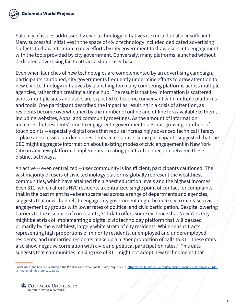Saliency of issues addressed by civic technology initiatives is crucial but also insufficient. Many successful initiatives in the space of civic technology included dedicated advertising budgets to draw attention to new efforts by city government to draw users into engagement with the tools provided by city government. Conversely, many platforms launched without dedicated advertising fail to attract a stable user base.

Even when launches of new technologies are complemented by an advertising campaign, participants cautioned, city governments frequently undermine efforts to draw attention to new civic technology initiatives by launching too many competing platforms across multiple agencies, rather than creating a single hub. The result is that key information is scattered across multiple sites and users are expected to become conversant with multiple platforms and tools. One participant described the impact as resulting in a crisis of attention, as residents become overwhelmed by the number of online and offline fora available to them, including websites, Apps, and community meetings. As the amount of information increases, but residents' time to engage with government does not, growing numbers of touch points -- especially digital ones that require increasingly advanced technical literacy -- place an excessive burden on residents. In response, some participants suggested that the CEC might aggregate information about existing modes of civic engagement in New York City on any new platform it implements, creating points of connection between these distinct pathways.

An active -- even centralized -- user community is insufficient, participants cautioned. The vast majority of users of civic technology platforms globally represent the wealthiest communities, which have attained the highest education levels and the highest incomes. Even 311, which affords NYC residents a centralized single point of contact for complaints that in the past might have been scattered across a range of departments and agencies, suggests that new channels to engage city government might be unlikely to increase civic engagement by groups with lower rates of political and civic participation. Despite lowering barriers to the issuance of complaints, 311 data offers some evidence that New York City might be at risk of implementing a digital civic technology platform that will be used primarily by the wealthiest, largely white strata of city residents. While census tracts representing high proportions of minority residents, unemployed and underemployed residents, and unmarried residents make up a higher proportion of calls to  $311$ , these rates also show negative correlation with civic and political participation rates. $\frac{1}{2}$  This data suggests that communities making use of 311 might not adopt new technologies that

<sup>&</sup>lt;sup>1</sup> Ariel White and Kris-Stella Trump, "The Promises and Pitfalls of 311 Data," August 2017, [https://arwhite.mit.edu/sites/default/files/documents/promises311da](https://arwhite.mit.edu/sites/default/files/documents/promises311data_RR2_unblinded_June2016.pdf)[ta\\_RR2\\_unblinded\\_June2016.pdf](https://arwhite.mit.edu/sites/default/files/documents/promises311data_RR2_unblinded_June2016.pdf).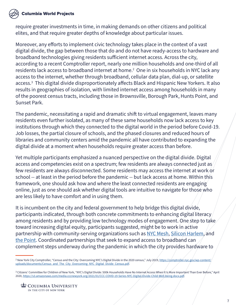#### **Columbia World Projects**

require greater investments in time, in making demands on other citizens and political elites, and that require greater depths of knowledge about particular issues.

Moreover, any efforts to implement civic technology takes place in the context of a vast digital divide, the gap between those that do and do not have ready-access to hardware and broadband technologies giving residents sufficient internet access. Across the city, according to a recent Comptroller report, nearly one million households and one-third of all residents lack access to broadband internet at home.<sup>2</sup> One in six households in NYC lack any access to the internet, whether through broadband, cellular data plan, dial-up, or satellite access.3 This digital divide disproportionately affects Black and Hispanic New Yorkers. It also results in geographies of isolation, with limited internet access among households in many of the poorest census tracts, including those in Brownsville, Borough Park, Hunts Point, and Sunset Park.

The pandemic, necessitating a rapid and dramatic shift to virtual engagement, leaves many residents even further isolated, as many of these same households now lack access to key institutions through which they connected to the digital world in the period before Covid-19. Job losses, the partial closure of schools, and the phased closures and reduced hours of libraries and community centers amid the pandemic all have contributed to expanding the digital divide at a moment when households require greater access than before.

Yet multiple participants emphasized a nuanced perspective on the digital divide. Digital access and competencies exist on a spectrum; few residents are always connected just as few residents are always disconnected. Some residents may access the internet at work or school -- at least in the period before the pandemic -- but lack access at home. Within this framework, one should ask how and where the least connected residents are engaging online, just as one should ask whether digital tools are intuitive to navigate for those who are less likely to have comfort and in using them.

It is incumbent on the city and federal government to help bridge this digital divide, participants indicated, through both concrete commitments to enhancing digital literacy among residents and by providing low technology modes of engagement. One step to take toward increasing digital equity, participants suggested, might be to work in active partnership with community-serving organizations such as [NYC Mesh](https://www.nycmesh.net/), [Silicon Harlem,](https://www.siliconharlem.com) and [the Point.](https://thepoint.org/) Coordinated partnerships that seek to expand access to broadband can complement steps underway during the pandemic in which the city provides hardware to

<sup>&</sup>lt;sup>2</sup> New York City Comptroller, "Census and the City: Overcoming NYC's Digital Divide in the 2020 census," July 2019, [https://comptroller.nyc.gov/wp-content/](https://comptroller.nyc.gov/wp-content/uploads/documents/Census_and_The_City_Overcoming_NYC_Digital_Divide_Census.pdf) [uploads/documents/Census\\_and\\_The\\_City\\_Overcoming\\_NYC\\_Digital\\_Divide\\_Census.pdf.](https://comptroller.nyc.gov/wp-content/uploads/documents/Census_and_The_City_Overcoming_NYC_Digital_Divide_Census.pdf)

<sup>3</sup> Citizens' Committee for Children of New York, "NYC's Digital Divide: 500k Households Have No Internet Access When It Is More Important Than Ever Before," April 2020, [https://s3.amazonaws.com/media.cccnewyork.org/2021/01/CCC-COVID-19-Series-NYC-Digital-Divide-Child-Well-being.docx.pdf.](https://s3.amazonaws.com/media.cccnewyork.org/2021/01/CCC-COVID-19-Series-NYC-Digital-Divide-Child-Well-being.docx.pdf)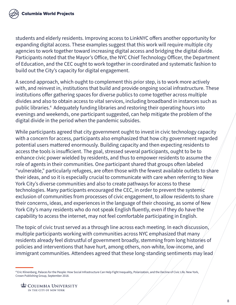students and elderly residents. Improving access to LinkNYC offers another opportunity for expanding digital access. These examples suggest that this work will require multiple city agencies to work together toward increasing digital access and bridging the digital divide. Participants noted that the Mayor's Office, the NYC Chief Technology Officer, the Department of Education, and the CEC ought to work together in coordinated and systematic fashion to build out the City's capacity for digital engagement.

A second approach, which ought to complement this prior step, is to work more actively with, and reinvest in, institutions that build and provide ongoing social infrastructure. These institutions offer gathering spaces for diverse publics to come together across multiple divides and also to obtain access to vital services, including broadband in instances such as public libraries.4 Adequately funding libraries and restoring their operating hours into evenings and weekends, one participant suggested, can help mitigate the problem of the digital divide in the period when the pandemic subsides.

While participants agreed that city government ought to invest in civic technology capacity with a concern for access, participants also emphasized that how city government regarded potential users mattered enormously. Building capacity and then expecting residents to access the tools is insufficient. The goal, stressed several participants, ought to be to enhance civic power wielded by residents, and thus to empower residents to assume the role of agents in their communities. One participant shared that groups often labeled "vulnerable," particularly refugees, are often those with the fewest available outlets to share their ideas, and so it is especially crucial to communicate with care when referring to New York City's diverse communities and also to create pathways for access to these technologies. Many participants encouraged the CEC, in order to prevent the systemic exclusion of communities from processes of civic engagement, to allow residents to share their concerns, ideas, and experiences in the language of their choosing, as some of New York City's many residents who do not speak English fluently, even if they do have the capability to access the internet, may not feel comfortable participating in English.

The topic of civic trust served as a through line across each meeting. In each discussion, multiple participants working with communities across NYC emphasized that many residents already feel distrustful of government broadly, stemming from long histories of policies and interventions that have hurt, among others, non-white, low-income, and immigrant communities. Attendees agreed that these long-standing sentiments may lead

<sup>4</sup> Eric Klinenberg, Palaces for the People: How Social Infrastructure Can Help Fight Inequality, Polarization, and the Decline of Civic Life. New York, Crown Publishing Group, September 2018.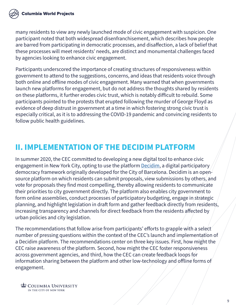many residents to view any newly launched mode of civic engagement with suspicion. One participant noted that both widespread disenfranchisement, which describes how people are barred from participating in democratic processes, and disaffection, a lack of belief that these processes will meet residents' needs, are distinct and monumental challenges faced by agencies looking to enhance civic engagement.

Participants underscored the importance of creating structures of responsiveness within government to attend to the suggestions, concerns, and ideas that residents voice through both online and offline modes of civic engagement. Many warned that when governments launch new platforms for engagement, but do not address the thoughts shared by residents on these platforms, it further erodes civic trust, which is notably difficult to rebuild. Some participants pointed to the protests that erupted following the murder of George Floyd as evidence of deep distrust in government at a time in which fostering strong civic trust is especially critical, as it is to addressing the COVID-19 pandemic and convincing residents to follow public health guidelines.

# **II. IMPLEMENTATION OF THE DECIDIM PLATFORM**

In summer 2020, the CEC committed to developing a new digital tool to enhance civic engagement in New York City, opting to use the platform [Decidim,](https://decidim.org/) a digital participatory democracy framework originally developed for the City of Barcelona. Decidim is an opensource platform on which residents can submit proposals, view submissions by others, and vote for proposals they find most compelling, thereby allowing residents to communicate their priorities to city government directly. The platform also enables city government to form online assemblies, conduct processes of participatory budgeting, engage in strategic planning, and highlight legislation in draft form and gather feedback directly from residents, increasing transparency and channels for direct feedback from the residents affected by urban policies and city legislation.

The recommendations that follow arise from participants' efforts to grapple with a select number of pressing questions within the context of the CEC's launch and implementation of a Decidim platform. The recommendations center on three key issues. First, how might the CEC raise awareness of the platform. Second, how might the CEC foster responsiveness across government agencies, and third, how the CEC can create feedback loops for information sharing between the platform and other low-technology and offline forms of engagement.

**ED COLUMBIA UNIVERSITY** IN THE CITY OF NEW YORK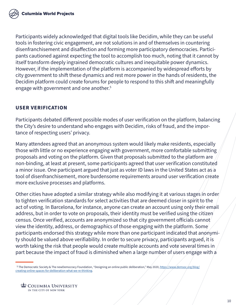Participants widely acknowledged that digital tools like Decidim, while they can be useful tools in fostering civic engagement, are not solutions in and of themselves in countering disenfranchisement and disaffection and forming more participatory democracies. Participants cautioned against expecting the tool to accomplish too much, noting that it cannot by itself transform deeply ingrained democratic cultures and inequitable power dynamics. However, if the implementation of the platform is accompanied by widespread efforts by city government to shift these dynamics and rest more power in the hands of residents, the Decidim platform could create forums for people to respond to this shift and meaningfully engage with government and one another.<sup>5</sup>

#### **USER VERIFICATION**

Participants debated different possible modes of user verification on the platform, balancing the City's desire to understand who engages with Decidim, risks of fraud, and the importance of respecting users' privacy.

Many attendees agreed that an anonymous system would likely make residents, especially those with little or no experience engaging with government, more comfortable submitting proposals and voting on the platform. Given that proposals submitted to the platform are non-binding, at least at present, some participants agreed that user verification constituted a minor issue. One participant argued that just as voter ID laws in the United States act as a tool of disenfranchisement, more burdensome requirements around user verification create more exclusive processes and platforms.

Other cities have adopted a similar strategy while also modifying it at various stages in order to tighten verification standards for select activities that are deemed closer in spirit to the act of voting. In Barcelona, for instance, anyone can create an account using only their email address, but in order to vote on proposals, their identity must be verified using the citizen census. Once verified, accounts are anonymized so that city government officials cannot view the identity, address, or demographics of those engaging with the platform. Some participants endorsed this strategy while more than one participant indicated that anonymity should be valued above verifiability. In order to secure privacy, participants argued, it is worth taking the risk that people would create multiple accounts and vote several times in part because the impact of fraud is diminished when a large number of users engage with a

<sup>&</sup>lt;sup>5</sup> The Democratic Society & The newDemocracy Foundation, "Designing an online public deliberation," May 2020, [https://www.demsoc.org/blog/](https://www.demsoc.org/blog/creating-online-spaces-for-deliberation-what-we-re-thinking) [creating-online-spaces-for-deliberation-what-we-re-thinking](https://www.demsoc.org/blog/creating-online-spaces-for-deliberation-what-we-re-thinking).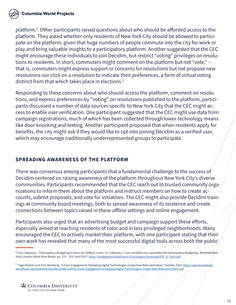

platform.6 Other participants raised questions about who should be afforded access to the platform. They asked whether only residents of New York City should be allowed to participate on the platform, given that huge numbers of people commute into the city for work or play and bring valuable insights to a participatory platform. Another suggested that the CEC might encourage these individuals to join Decidim, but restrict "voting" privileges on resolutions to residents. In short, commuters might comment on the platform but not "vote," - that is, commuters might express support or concerns for resolutions but not propose new resolutions nor click on a resolution to indicate their preferences, a form of virtual voting distinct from that which takes place in elections.<sup>7</sup>

Responding to these concerns about who should access the platform, comment on resolutions, and express preferences by "voting" on resolutions published to the platform, participants discussed a number of data sources specific to New York City that the CEC might access to enable user verification. One participant suggested that the CEC might use data from campaign registrations, much of which has been collected through lower technology means like door knocking and texting. Another participant proposed that when residents apply for benefits, the city might ask if they would like to opt into joining Decidim as a verified user, which may encourage traditionally underrepresented groups to participate.

#### **SPREADING AWARENESS OF THE PLATFORM**

There was consensus among participants that a fundamental challenge to the success of Decidim centered on raising awareness of the platform throughout New York City's diverse communities. Participants recommended that the CEC reach out to trusted community organizations to inform them about the platform and instruct members on how to create accounts, submit proposals, and vote for initiatives. The CEC might also provide Decidim trainings at community board meetings, both to spread awareness of its existence and create connections between topics raised in these offline settings and online engagement.

Participants also urged that an advertising budget and campaign support these efforts, especially aimed at reaching residents of color and in less privileged neighborhoods. Many encouraged the CEC to actively market their platform, with one participant stating that their own work has revealed that many of the most successful digital tools across both the public

<sup>&</sup>lt;sup>6</sup> Yves Cabannes. "Participatory Budgeting in Paris: Act, Reflect, Grow." In: Cabannes, Y. (ed.) Another city is possible with Participatory Budgeting. Montréal/New York/London: Black Rose Books, pp. 179 – 203, April 2017, [https://budgetparticipatif.paris.fr/bp/plugins/download/PB\\_in\\_Paris.pdf.](https://budgetparticipatif.paris.fr/bp/plugins/download/PB_in_Paris.pdf)

 $^7$  Tiago Peixoto and Tom Steinberg, "Citizen Engagement: Emerging Digital Technologies Create New Risks and Value," October 2019, <u>[https://openknowledge.](https://openknowledge.worldbank.org/bitstream/handle/10986/32495/Citizen-Engagement-Emerging-Digital)</u> [worldbank.org/bitstream/handle/10986/32495/Citizen-Engagement-Emerging-Digital-Technologies-Create-New-Risks-and-Value.pdf](https://openknowledge.worldbank.org/bitstream/handle/10986/32495/Citizen-Engagement-Emerging-Digital).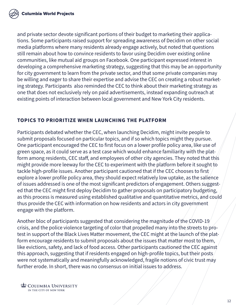and private sector devote significant portions of their budget to marketing their applications. Some participants raised support for spreading awareness of Decidim on other social media platforms where many residents already engage actively, but noted that questions still remain about how to convince residents to favor using Decidim over existing online communities, like mutual aid groups on Facebook. One participant expressed interest in developing a comprehensive marketing strategy, suggesting that this may be an opportunity for city government to learn from the private sector, and that some private companies may be willing and eager to share their expertise and advise the CEC on creating a robust marketing strategy. Participants also reminded the CEC to think about their marketing strategy as one that does not exclusively rely on paid advertisements, instead expanding outreach at existing points of interaction between local government and New York City residents.

#### **TOPICS TO PRIORITIZE WHEN LAUNCHING THE PLATFORM**

Participants debated whether the CEC, when launching Decidim, might invite people to submit proposals focused on particular topics, and if so which topics might they pursue. One participant encouraged the CEC to first focus on a lower profile policy area, like use of green space, as it could serve as a test case which would enhance familiarity with the platform among residents, CEC staff, and employees of other city agencies. They noted that this might provide more leeway for the CEC to experiment with the platform before it sought to tackle high-profile issues. Another participant cautioned that if the CEC chooses to first explore a lower profile policy area, they should expect relatively low uptake, as the salience of issues addressed is one of the most significant predictors of engagement. Others suggested that the CEC might first deploy Decidim to gather proposals on participatory budgeting, as this process is measured using established qualitative and quantitative metrics, and could thus provide the CEC with information on how residents and actors in city government engage with the platform.

Another bloc of participants suggested that considering the magnitude of the COVID-19 crisis, and the police violence targeting of color that propelled many into the streets to protest in support of the Black Lives Matter movement, the CEC might at the launch of the platform encourage residents to submit proposals about the issues that matter most to them, like evictions, safety, and lack of food access. Other participants cautioned the CEC against this approach, suggesting that if residents engaged on high-profile topics, but their posts were not systematically and meaningfully acknowledged, fragile notions of civic trust may further erode. In short, there was no consensus on initial issues to address.

**ED COLUMBIA UNIVERSITY** IN THE CITY OF NEW YORK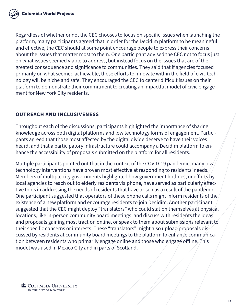Regardless of whether or not the CEC chooses to focus on specific issues when launching the platform, many participants agreed that in order for the Decidim platform to be meaningful and effective, the CEC should at some point encourage people to express their concerns about the issues that matter most to them. One participant advised the CEC not to focus just on what issues seemed viable to address, but instead focus on the issues that are of the greatest consequence and significance to communities. They said that if agencies focused primarily on what seemed achievable, these efforts to innovate within the field of civic technology will be niche and safe. They encouraged the CEC to center difficult issues on their platform to demonstrate their commitment to creating an impactful model of civic engagement for New York City residents.

#### **OUTREACH AND INCLUSIVENESS**

Throughout each of the discussions, participants highlighted the importance of sharing knowledge across both digital platforms and low technology forms of engagement. Participants agreed that those most affected by the digital divide deserve to have their voices heard, and that a participatory infrastructure could accompany a Decidim platform to enhance the accessibility of proposals submitted on the platform for all residents.

Multiple participants pointed out that in the context of the COVID-19 pandemic, many low technology interventions have proven most effective at responding to residents' needs. Members of multiple city governments highlighted how government hotlines, or efforts by local agencies to reach out to elderly residents via phone, have served as particularly effective tools in addressing the needs of residents that have arisen as a result of the pandemic. One participant suggested that operators of these phone calls might inform residents of the existence of a new platform and encourage residents to join Decidim. Another participant suggested that the CEC might deploy "translators" who could station themselves at physical locations, like in-person community board meetings, and discuss with residents the ideas and proposals gaining most traction online, or speak to them about submissions relevant to their specific concerns or interests. These "translators" might also upload proposals discussed by residents at community board meetings to the platform to enhance communication between residents who primarily engage online and those who engage offline. This model was used in Mexico City and in parts of Scotland.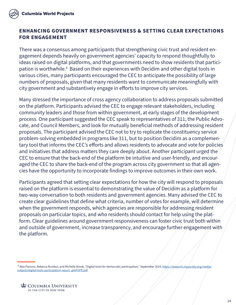

#### **ENHANCING GOVERNMENT RESPONSIVENESS & SETTING CLEAR EXPECTATIONS FOR ENGAGEMENT**

There was a consensus among participants that strengthening civic trust and resident engagement depends heavily on government agencies' capacity to respond thoughtfully to ideas raised on digital platforms, and that governments need to show residents that participation is worthwhile. $^8$  Based on their experiences with Decidim and other digital tools in various cities, many participants encouraged the CEC to anticipate the possibility of large numbers of proposals, given that many residents want to communicate meaningfully with city government and substantively engage in efforts to improve city services.

Many stressed the importance of cross agency collaboration to address proposals submitted on the platform. Participants advised the CEC to engage relevant stakeholders, including community leaders and those from within government, at early stages of the development process. One participant suggested the CEC speak to representatives of 311, the Public Advocate, and Council Members, and look for mutually beneficial methods of addressing resident proposals. The participant advised the CEC not to try to replicate the constituency service problem-solving embedded in programs like 311, but to position Decidim as a complementary tool that informs the CEC's efforts and allows residents to advocate and vote for policies and initiatives that address matters they care deeply about. Another participant urged the CEC to ensure that the back-end of the platform be intuitive and user-friendly, and encouraged the CEC to share the back-end of the program across city government so that all agencies have the opportunity to incorporate findings to improve outcomes in their own work.

Participants agreed that setting clear expectations for how the city will respond to proposals raised on the platform is essential to demonstrating the value of Decidim as a platform for two-way conversation to both residents and government agencies. Many advised the CEC to create clear guidelines that define what criteria, number of votes for example, will determine when the government responds, which agencies are responsible for addressing resident proposals on particular topics, and who residents should contact for help using the platform. Clear guidelines around government responsiveness can foster civic trust both within and outside of government, increase transparency, and encourage further engagement with the platform.

<sup>8</sup> Alex Parsons, Rebecca Rumbul, and Michelle Brook, "Digital tools for democratic participation," September 2019, [https://research.mysociety.org/media/](https://research.mysociety.org/media/outputs/digital-tools-participation-report_gVeFDFR.pdf) [outputs/digital-tools-participation-report\\_gVeFDFR.pdf.](https://research.mysociety.org/media/outputs/digital-tools-participation-report_gVeFDFR.pdf)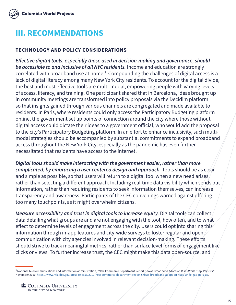

# **III. RECOMMENDATIONS**

#### **TECHNOLOGY AND POLICY CONSIDERATIONS**

*Effective digital tools, especially those used in decision-making and governance, should be accessible to and inclusive of all NYC residents.* Income and education are strongly correlated with broadband use at home.<sup>9</sup> Compounding the challenges of digital access is a lack of digital literacy among many New York City residents. To account for the digital divide, the best and most effective tools are multi-modal, empowering people with varying levels of access, literacy, and training. One participant shared that in Barcelona, ideas brought up in community meetings are transformed into policy proposals via the Decidim platform, so that insights gained through various channels are congregated and made available to residents. In Paris, where residents could only access the Participatory Budgeting platform online, the government set up points of connection around the city where those without digital access could dictate their ideas to a government official, who would add the proposal to the city's Participatory Budgeting platform. In an effort to enhance inclusivity, such multimodal strategies should be accompanied by substantial commitments to expand broadband access throughout the New York City, especially as the pandemic has even further necessitated that residents have access to the internet.

*Digital tools should make interacting with the government easier, rather than more complicated, by embracing a user centered design and approach.* Tools should be as clear and simple as possible, so that users will return to a digital tool when a new need arises, rather than selecting a different approach. Including real-time data visibility which sends out information, rather than requiring residents to seek information themselves, can increase transparency and awareness. Participants of the CEC convenings warned against offering too many touchpoints, as it might overwhelm citizens.

*Measure accessibility and trust in digital tools to increase equity. Digital tools can collect* data detailing what groups are and are not engaging with the tool, how often, and to what effect to determine levels of engagement across the city. Users could opt into sharing this information through in-app features and city-wide surveys to foster regular and open communication with city agencies involved in relevant decision-making. These efforts should strive to track meaningful metrics, rather than surface level forms of engagement like clicks or views. To further increase trust, the CEC might make this data open-source, and

<sup>&</sup>lt;sup>9</sup> National Telecommunications and Information Administration, "New Commerce Department Report Shows Broadband Adoption Rises While 'Gap' Persists," November 2010, [https://www.ntia.doc.gov/press-release/2010/new-commerce-department-report-shows-broadband-adoption-rises-while-gap-persists.](https://www.ntia.doc.gov/press-release/2010/new-commerce-department-report-shows-broadband-adoption-)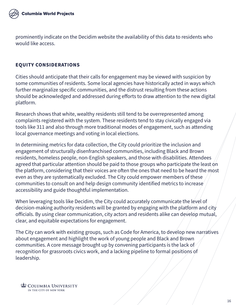

prominently indicate on the Decidim website the availability of this data to residents who would like access.

#### **EQUITY CONSIDERATIONS**

Cities should anticipate that their calls for engagement may be viewed with suspicion by some communities of residents. Some local agencies have historically acted in ways which further marginalize specific communities, and the distrust resulting from these actions should be acknowledged and addressed during efforts to draw attention to the new digital platform.

Research shows that white, wealthy residents still tend to be overrepresented among complaints registered with the system. These residents tend to stay civically engaged via tools like 311 and also through more traditional modes of engagement, such as attending local governance meetings and voting in local elections.

In determining metrics for data collection, the City could prioritize the inclusion and engagement of structurally disenfranchised communities, including Black and Brown residents, homeless people, non-English speakers, and those with disabilities. Attendees agreed that particular attention should be paid to those groups who participate the least on the platform, considering that their voices are often the ones that need to be heard the most even as they are systematically excluded. The City could empower members of these communities to consult on and help design community identified metrics to increase accessibility and guide thoughtful implementation.

When leveraging tools like Decidim, the City could accurately communicate the level of decision-making authority residents will be granted by engaging with the platform and city officials. By using clear communication, city actors and residents alike can develop mutual, clear, and equitable expectations for engagement.

The City can work with existing groups, such as Code for America, to develop new narratives about engagement and highlight the work of young people and Black and Brown communities. A core message brought up by convening participants is the lack of recognition for grassroots civics work, and a lacking pipeline to formal positions of leadership.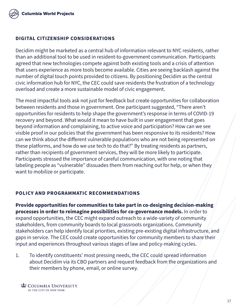

#### **DIGITAL CITIZENSHIP CONSIDERATIONS**

Decidim might be marketed as a central hub of information relevant to NYC residents, rather than an additional tool to be used in resident-to-government communication. Participants agreed that new technologies compete against both existing tools and a crisis of attention that users experience as more tools become available. Cities are seeing backlash against the number of digital touch points provided to citizens. By positioning Decidim as the central civic information hub for NYC, the CEC could save residents the frustration of a technology overload and create a more sustainable model of civic engagement.

The most impactful tools ask not just for feedback but create opportunities for collaboration between residents and those in government. One participant suggested, "There aren't opportunities for residents to help shape the government's response in terms of COVID-19 recovery and beyond. What would it mean to have built in user engagement that goes beyond information and complaining, to active voice and participation? How can we see visible proof in our policies that the government has been responsive to its residents? How can we think about the different vulnerable populations who are not being represented on these platforms, and how do we use tech to do that?" By treating residents as partners, rather than recipients of government services, they will be more likely to participate. Participants stressed the importance of careful communication, with one noting that labeling people as "vulnerable" dissuades them from reaching out for help, or when they want to mobilize or participate.

#### **POLICY AND PROGRAMMATIC RECOMMENDATIONS**

**Provide opportunities for communities to take part in co-designing decision-making processes in order to reimagine possibilities for co-governance models.** In order to expand opportunities, the CEC might expand outreach to a wide-variety of community stakeholders, from community boards to local grassroots organizations. Community stakeholders can help identify local priorities, existing pre-existing digital infrastructure, and gaps in service. The CEC could create opportunities for community members to share their input and experiences throughout various stages of law and policy-making cycles.

1. To identify constituents' most pressing needs, the CEC could spread information about Decidim via its CBO partners and request feedback from the organizations and their members by phone, email, or online survey.

**ED COLUMBIA UNIVERSITY** IN THE CITY OF NEW YORK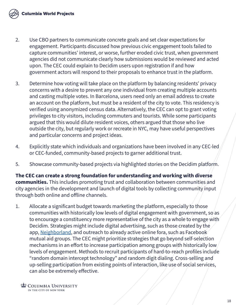

- 2. Use CBO partners to communicate concrete goals and set clear expectations for engagement. Participants discussed how previous civic engagement tools failed to capture communities' interest, or worse, further eroded civic trust, when government agencies did not communicate clearly how submissions would be reviewed and acted upon. The CEC could explain to Decidim users upon registration if and how government actors will respond to their proposals to enhance trust in the platform.
- 3. Determine how voting will take place on the platform by balancing residents' privacy concerns with a desire to prevent any one individual from creating multiple accounts and casting multiple votes. In Barcelona, users need only an email address to create an account on the platform, but must be a resident of the city to vote. This residency is verified using anonymized census data. Alternatively, the CEC can opt to grant voting privileges to city visitors, including commuters and tourists. While some participants argued that this would dilute resident voices, others argued that those who live outside the city, but regularly work or recreate in NYC, may have useful perspectives and particular concerns and project ideas.
- 4. Explicitly state which individuals and organizations have been involved in any CEC-led or CEC-funded, community-based projects to garner additional trust.
- 5. Showcase community-based projects via highlighted stories on the Decidim platform.

**The CEC can create a strong foundation for understanding and working with diverse communities.** This includes promoting trust and collaboration between communities and city agencies in the development and launch of digital tools by collecting community input through both online and offline channels.

1. Allocate a significant budget towards marketing the platform, especially to those communities with historically low levels of digital engagement with government, so as to encourage a constituency more representative of the city as a whole to engage with Decidim. Strategies might include digital advertising, such as those created by the app, [Neighborland](https://neighborland.com/), and outreach to already active online fora, such as Facebook mutual aid groups. The CEC might prioritize strategies that go beyond self-selection mechanisms in an effort to increase participation among groups with historically low levels of engagement. Methods to recruit participants of hard-to-reach profiles include "random domain intercept technology" and random digit dialing. Cross-selling and up-selling participation from existing points of interaction, like use of social services, can also be extremely effective.

**ED COLUMBIA UNIVERSITY** IN THE CITY OF NEW YORK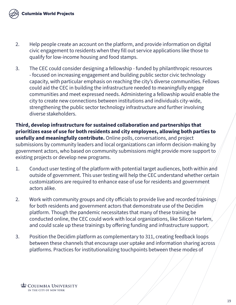

- 2. Help people create an account on the platform, and provide information on digital civic engagement to residents when they fill out service applications like those to qualify for low-income housing and food stamps.
- 3. The CEC could consider designing a fellowship funded by philanthropic resources - focused on increasing engagement and building public sector civic technology capacity, with particular emphasis on reaching the city's diverse communities. Fellows could aid the CEC in building the infrastructure needed to meaningfully engage communities and meet expressed needs. Administering a fellowship would enable the city to create new connections between institutions and individuals city-wide, strengthening the public sector technology infrastructure and further involving diverse stakeholders.

**Third, develop infrastructure for sustained collaboration and partnerships that prioritizes ease of use for both residents and city employees, allowing both parties to usefully and meaningfully contribute.** Online polls, conversations, and project submissions by community leaders and local organizations can inform decision-making by government actors, who based on community submissions might provide more support to existing projects or develop new programs.

- 1. Conduct user testing of the platform with potential target audiences, both within and outside of government. This user testing will help the CEC understand whether certain customizations are required to enhance ease of use for residents and government actors alike.
- 2. Work with community groups and city officials to provide live and recorded trainings for both residents and government actors that demonstrate use of the Decidim platform. Though the pandemic necessitates that many of these training be conducted online, the CEC could work with local organizations, like Silicon Harlem, and could scale up these trainings by offering funding and infrastructure support.
- 3. Position the Decidim platform as complementary to 311, creating feedback loops between these channels that encourage user uptake and information sharing across platforms. Practices for institutionalizing touchpoints between these modes of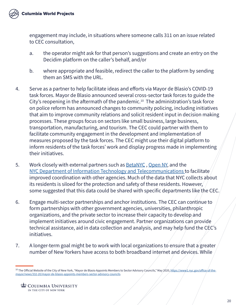engagement may include, in situations where someone calls 311 on an issue related to CEC consultation,

- a. the operator might ask for that person's suggestions and create an entry on the Decidim platform on the caller's behalf, and/or
- b. where appropriate and feasible, redirect the caller to the platform by sending them an SMS with the URL.
- 4. Serve as a partner to help facilitate ideas and efforts via Mayor de Blasio's COVID-19 task forces. Mayor de Blasio announced several cross-sector task forces to guide the City's reopening in the aftermath of the pandemic.<sup>10</sup> The administration's task force on police reform has announced changes to community policing, including initiatives that aim to improve community relations and solicit resident input in decision making processes. These groups focus on sectors like small business, large business, transportation, manufacturing, and tourism. The CEC could partner with them to facilitate community engagement in the development and implementation of measures proposed by the task forces. The CEC might use their digital platform to inform residents of the task forces' work and display progress made in implementing their initiatives.
- 5. Work closely with external partners such as **[BetaNYC](https://beta.nyc/)**, [Open NY,](https://www.ny.gov/programs/open-ny) and the [NYC Department of Information Technology and Telecommunications](https://www1.nyc.gov/site/doitt/index.page) to facilitate improved coordination with other agencies. Much of the data that NYC collects about its residents is siloed for the protection and safety of these residents. However, some suggested that this data could be shared with specific departments like the CEC.
- 6. Engage multi-sector partnerships and anchor institutions. The CEC can continue to form partnerships with other government agencies, universities, philanthropic organizations, and the private sector to increase their capacity to develop and implement initiatives around civic engagement. Partner organizations can provide technical assistance, aid in data collection and analysis, and may help fund the CEC's initiatives.
- 7. A longer-term goal might be to work with local organizations to ensure that a greater number of New Yorkers have access to both broadband internet and devices. While

<sup>&</sup>lt;sup>10</sup> The Official Website of the City of New York, "Mayor de Blasio Appoints Members to Sector Advisory Councils," May 2020, [https://www1.nyc.gov/office-of-the](https://www1.nyc.gov/office-of-the-mayor/news/332-20/mayor-de-blasio-appoints-members-sector-advisor)[mayor/news/332-20/mayor-de-blasio-appoints-members-sector-advisory-councils](https://www1.nyc.gov/office-of-the-mayor/news/332-20/mayor-de-blasio-appoints-members-sector-advisor).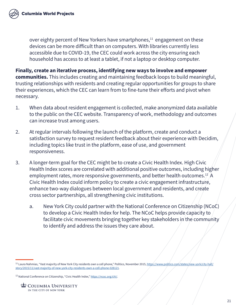over eighty percent of New Yorkers have smartphones,<sup>11</sup> engagement on these devices can be more difficult than on computers. With libraries currently less accessible due to COVID-19, the CEC could work across the city ensuring each household has access to at least a tablet, if not a laptop or desktop computer.

**Finally, create an iterative process, identifying new ways to involve and empower communities.** This includes creating and maintaining feedback loops to build meaningful, trusting relationships with residents and creating regular opportunities for groups to share their experiences, which the CEC can learn from to fine-tune their efforts and pivot when necessary.

- 1. When data about resident engagement is collected, make anonymized data available to the public on the CEC website. Transparency of work, methodology and outcomes can increase trust among users.
- 2. At regular intervals following the launch of the platform, create and conduct a satisfaction survey to request resident feedback about their experience with Decidim, including topics like trust in the platform, ease of use, and government responsiveness.
- 3. A longer-term goal for the CEC might be to create a Civic Health Index. High Civic Health Index scores are correlated with additional positive outcomes, including higher employment rates, more responsive governments, and better health outcomes.<sup>12</sup>  $\mathsf{A}$ Civic Health Index could inform policy to create a civic engagement infrastructure, enhance two-way dialogues between local government and residents, and create cross sector partnerships, all strengthening civic institutions.
	- a. New York City could partner with the National Conference on Citizenship (NCoC) to develop a Civic Health Index for help. The NCoC helps provide capacity to facilitate civic movements bringing together key stakeholders in the community to identify and address the issues they care about.

<sup>&</sup>lt;sup>11</sup> Laura Nahmias, "Vast majority of New York City residents own a cell phone," Politico, November 2015, [https://www.politico.com/states/new-york/city-hall/](https://www.politico.com/states/new-york/city-hall/story/2015/11/vast-majority-of-new-york-city-resi) [story/2015/11/vast-majority-of-new-york-city-residents-own-a-cell-phone-028121.](https://www.politico.com/states/new-york/city-hall/story/2015/11/vast-majority-of-new-york-city-resi)

<sup>&</sup>lt;sup>12</sup> National Conference on Citizenship, "Civic Health Index,"<https://ncoc.org/chi/>.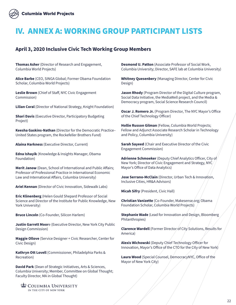# **IV. ANNEX A: WORKING GROUP PARTICIPANT LISTS**

#### **April 3, 2020 Inclusive Civic Tech Working Group Members**

**Thomas Asher** (Director of Research and Engagement, Columbia World Projects)

**Alice Barbe** (CEO, SINGA Global; Former Obama Foundation Scholar, Columbia World Projects)

**Leslie Brown** (Chief of Staff, NYC Civic Engagement Commission)

**Lilian Coral** (Director of National Strategy, Knight Foundation)

**Shari Davis** (Executive Director, Participatory Budgeting Project)

**Keesha Gaskins-Nathan** (Director for the Democratic Practice– United States program, the Rockefeller Brothers Fund)

**Alaina Harkness** (Executive Director, Current)

**Edna Ishayik** (Knowledge & Insights Manager, Obama Foundation)

**Merit Janow** (Dean, School of International and Public Affairs; Professor of Professional Practice in International Economic Law and International Affairs, Columbia University)

**Ariel Kennan** (Director of Civic Innovation, Sidewalk Labs)

**Eric Klinenberg** (Helen Gould Shepard Professor of Social Science and Director of the Institute for Public Knowledge, New York University)

**Bruce Lincoln** (Co-Founder, Silicon Harlem)

**Justin Garrett Moor**e (Executive Director, New York City Public Design Commission)

**Maggie Ollove** (Service Designer + Civic Researcher, Center for Civic Design)

**Kathryn Ott Lovell** (Commissioner, Philadelphia Parks & Recreation)

**David Park** (Dean of Strategic Initiatives, Arts & Sciences, Columbia University; Member, Committee on Global Thought; Faculty Director, MA in Global Thought)

**COLUMBIA UNIVERSITY** IN THE CITY OF NEW YORK

**Desmond U. Patton** (Associate Professor of Social Work, Columbia University; Director, SAFE lab at Columbia University)

**Whitney Quesenbery** (Managing Director, Center for Civic Design)

**Jason Rhody** (Program Director of the Digital Culture program, Social Data Initiative, the MediaWell project, and the Media & Democracy program, Social Science Research Council)

**Oscar J. Romero Jr.** (Program Director, The NYC Mayor's Office of the Chief Technology Officer)

**Hollie Russon Gilman** (Fellow, Columbia World Projects; Fellow and Adjunct Associate Research Scholar in Technology and Policy, Columbia University)

**Sarah Sayeed** (Chair and Executive Director of the Civic Engagement Commission)

**Adrienne Schmoeker** (Deputy Chief Analytics Officer, City of New York; Director of Civic Engagement and Strategy, NYC Mayor's Office of Data Analytics)

**Jose Serrano-McClain** (Director, Urban Tech & Innovation, Inclusive Cities, HR&A Advisors)

**Micah Sifry** (President, Civic Hall)

**Christian Vanizette** (Co-Founder, Makesense.org; Obama Foundation Scholar, Columbia World Projects)

**Stephanie Wade** (Lead for Innovation and Design, Bloomberg Philanthropies)

**Clarence Wardell** (Former Director of City Solutions, Results for America)

**Alexis Wichowski** (Deputy Chief Technology Officer for Innovation, Mayor's Office of the CTO for the City of New York)

**Laura Wood** (Special Counsel, DemocracyNYC, Office of the Mayor of New York City)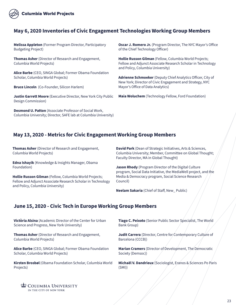

#### **May 6, 2020 Inventories of Civic Engagement Technologies Working Group Members**

**Melissa Appleton** (Former Program Director, Participatory Budgeting Project)

**Thomas Asher** (Director of Research and Engagement, Columbia World Projects)

**Alice Barbe** (CEO, SINGA Global; Former Obama Foundation Scholar, Columbia World Projects)

**Bruce Lincoln** (Co-Founder, Silicon Harlem)

**Justin Garrett Moore** (Executive Director, New York City Public Design Commission)

**Desmond U. Patton** (Associate Professor of Social Work, Columbia University; Director, SAFE lab at Columbia University) **Oscar J. Romero Jr.** (Program Director, The NYC Mayor's Office of the Chief Technology Officer)

**Hollie Russon Gilman** (Fellow, Columbia World Projects; Fellow and Adjunct Associate Research Scholar in Technology and Policy, Columbia University)

**Adrienne Schmoeker** (Deputy Chief Analytics Officer, City of New York; Director of Civic Engagement and Strategy, NYC Mayor's Office of Data Analytics)

**Maia Woluchem** (Technology Fellow, Ford Foundation)

#### **May 13, 2020 - Metrics for Civic Engagement Working Group Members**

**Thomas Asher** (Director of Research and Engagement, Columbia World Projects)

**Edna Ishayik** (Knowledge & Insights Manager, Obama Foundation)

**Hollie Russon Gilman** (Fellow, Columbia World Projects; Fellow and Adjunct Associate Research Scholar in Technology and Policy, Columbia University)

**David Park** (Dean of Strategic Initiatives, Arts & Sciences, Columbia University; Member, Committee on Global Thought; Faculty Director, MA in Global Thought)

**Jason Rhody** (Program Director of the Digital Culture program, Social Data Initiative, the MediaWell project, and the Media & Democracy program, Social Science Research Council)

**Neelam Sakaria** (Chief of Staff, New\_ Public)

#### **June 15, 2020 - Civic Tech in Europe Working Group Members**

**Victòria Alsina** (Academic Director of the Center for Urban Science and Progress, New York University)

**Thomas Asher** (Director of Research and Engagement, Columbia World Projects)

**Alice Barbe** (CEO, SINGA Global; Former Obama Foundation Scholar, Columbia World Projects)

**Kirsten Brosbøl** (Obama Foundation Scholar, Columbia World Projects)

**Tiago C. Peixoto** (Senior Public Sector Specialist, The World Bank Group)

**Judit Carrera** (Director, Centre for Contemporary Culture of Barcelona (CCCB))

**Marian Cramers** (Director of Development, The Democratic Society (Demsoc))

**Michaël V. Dandrieux** (Sociologist, Eranos & Sciences Po Paris (SMI))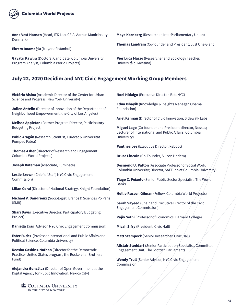

**Anne Vest Hansen** (Head, ITK Lab, CFIA, Aarhus Municipality, Denmark)

**Ekrem İmamoğlu** (Mayor of Istanbul)

**Gayatri Kawlra** (Doctoral Candidate, Columbia University; Program Analyst, Columbia World Projects)

**Maya Kornberg** (Researcher, InterParliamentary Union)

**Thomas Landrain** (Co-founder and President, Just One Giant Lab)

**Pier Luca Marzo** (Researcher and Sociology Teacher, Università di Messina)

#### **July 22, 2020 Decidim and NYC Civic Engagement Working Group Members**

**Victòria Alsina** (Academic Director of the Center for Urban Science and Progress, New York University)

**Julien Antelin** (Director of Innovation of the Department of Neighborhood Empowerment, the City of Los Angeles)

**Melissa Appleton** (Former Program Director, Participatory Budgeting Project)

**Pablo Aragón** (Research Scientist, Eurecat & Universitat Pompeu Fabra)

**Thomas Asher** (Director of Research and Engagement, Columbia World Projects)

**Joseph Bateman** (Associate, Luminate)

**Leslie Brown** (Chief of Staff, NYC Civic Engagement Commission)

**Lilian Coral** (Director of National Strategy, Knight Foundation)

**Michaël V. Dandrieux** (Sociologist, Eranos & Sciences Po Paris (SMI))

**Shari Davis** (Executive Director, Participatory Budgeting Project)

**Daniella Eras** (Advisor, NYC Civic Engagement Commission)

**Ester Fuchs** (Professor International and Public Affairs and Political Science, Columbia University)

**Keesha Gaskins-Nathan** (Director for the Democratic Practice–United States program, the Rockefeller Brothers Fund)

**Alejandra González** (Director of Open Government at the Digital Agency for Public Innovation, Mexico City)

COLUMBIA UNIVERSITY IN THE CITY OF NEW YORK

**Noel Hidalgo** (Executive Director, BetaNYC)

**Edna Ishayik** (Knowledge & Insights Manager, Obama Foundation)

**Ariel Kennan** (Director of Civic Innovation, Sidewalk Labs)

**Miguel Lago** (Co-founder and President-director, Nossas; Lecturer of International and Public Affairs, Columbia University)

**Panthea Lee** (Executive Director, Reboot)

**Bruce Lincoln** (Co-Founder, Silicon Harlem)

**Desmond U. Patton** (Associate Professor of Social Work, Columbia University; Director, SAFE lab at Columbia University)

**Tiago C. Peixoto** (Senior Public Sector Specialist, The World Bank)

**Hollie Russon Gilman** (Fellow, Columbia World Projects)

**Sarah Sayeed** (Chair and Executive Director of the Civic Engagement Commission)

**Rajiv Sethi** (Professor of Economics, Barnard College)

**Micah Sifry** (President, Civic Hall)

**Matt Stempeck** (Senior Researcher, Civic Hall)

**Alistair Stoddart** (Senior Participation Specialist, Committee Engagement Unit, The Scottish Parliament)

**Wendy Trull** (Senior Advisor, NYC Civic Engagement Commission)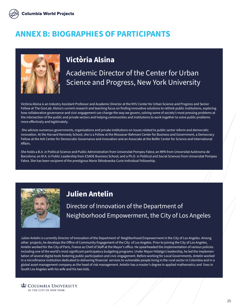

# **ANNEX B: BIOGRAPHIES OF PARTICIPANTS**



#### **Victòria Alsina**

Academic Director of the Center for Urban Science and Progress, New York University

Victòria Alsina is an Industry Assistant Professor and Academic Director at the NYU Center for Urban Science and Progress and Senior Fellow at The GovLab. Alsina's current research and teaching focus on finding innovative solutions to rethink public institutions, exploring how collaborative governance and civic engagement can change the way we govern, solving some of society's most pressing problems at the intersection of the public and private sectors and helping communities and institutions to work together to solve public problems more effectively and legitimately.

 She advises numerous governments, organizations and private institutions on issues related to public sector reform and democratic innovation. At the Harvard Kennedy School, she is a Fellow at the Mossavar-Rahmani Center for Business and Government, a Democracy Fellow at the Ash Center for Democratic Governance and Innovation and an Associate at the Belfer Center for Science and International Affairs.

She holds a B.A. in Political Science and Public Administration from Universitat Pompeu Fabra; an MPA from Universitat Autònoma de Barcelona; an M.A. in Public Leadership from ESADE Business School; and a Ph.D. in Political and Social Sciences from Universitat Pompeu Fabra. She has been recipient of the prestigious Marie Skłodowska-Curie Individual Fellowship.



#### **Julien Antelin**

Director of Innovation of the Department of Neighborhood Empowerment, the City of Los Angeles

Julien Antelin is currently Director of Innovation of the Department of Neighborhood Empowerment in the City of Los Angeles. Among other projects, he develops the Office of Community Engagement of the City of Los Angeles. Prior to joining the City of Los Angeles, Antelin worked for the City of Paris, France as Chief of Staff at the Mayor's office. He spearheaded the implementation of various policies including one of the world's most significant participatory budgeting programs. Under Mayor Hidalgo's leadership, he led the implementation of several digital tools fostering public participation and civic engagement. Before working for Local Governments, Antelin worked in a microfinance institution dedicated to delivering financial services to vulnerable people living in the rural sector in Colombia and in a global asset management company as the head of risk management. Antelin has a master's degree in applied mathematics and lives in South Los Angeles with his wife and his two kids.

**COLUMBIA UNIVERSITY** IN THE CITY OF NEW YORK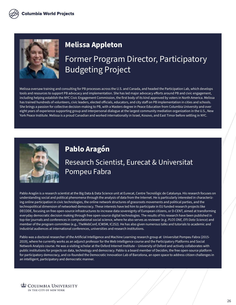

#### **Melissa Appleton**

# Former Program Director, Participatory Budgeting Project

Melissa oversaw training and consulting for PB processes across the U.S. and Canada, and headed the Participation Lab, which develops tools and resources to support PB advocacy and implementation. She has led major advocacy efforts around PB and civic engagement, including helping establish the NYC Civic Engagement Commission, the first body of its kind approved by voters in North America. Melissa has trained hundreds of volunteers, civic leaders, elected officials, educators, and city staff on PB implementation in cities and schools. She brings a passion for collective decision-making to PB, with a Masters degree in Peace Education from Columbia University and over eight years of experience supporting group and interpersonal dialogue at the largest community mediation organization in the U.S., New York Peace Institute. Melissa is a proud Canadian and worked internationally in Israel, Kosovo, and East Timor before settling in NYC.



#### **Pablo Aragón**

# Research Scientist, Eurecat & Universitat Pompeu Fabra

Pablo Aragón is a research scientist at the Big Data & Data Science unit at Eurecat, Centre Tecnològic de Catalunya. His research focuses on understanding social and political phenomena through the analysis of data from the Internet. He is particularly interested in characterizing online participation in civic technologies, the online network structures of grassroots movements and political parties, and the technopolitical dimension of networked democracy. These interests have led him to participate in EU funded research projects like DECODE, focusing on free open-source infrastructures to increase data sovereignty of European citizens, or D-CENT, aimed at transforming everyday democratic decision making through free open-source digital technologies. The results of his research have been published in top-tier journals and conferences in computational social science, where he also serves as reviewer (e.g. *PLOS ONE, EPJ Data Science*) and member of the program committee (e.g., TheWebConf, ICWSM, IC2S2). He has also given numerous talks and tutorials to academic and industrial audiences at international conferences, universities and research institutions.

Pablo was a doctoral researcher of the Artificial Intelligence and Machine Learning research group at Universitat Pompeu Fabra (2015- 2019), where he currently works as an adjunct professor for the Web Intelligence course and the Participatory Platforms and Social Network Analysis course. He was a visiting scholar at the Oxford Internet Institute – University of Oxford and actively collaborates with public institutions for projects on data, technology and democracy. Pablo is a board member of Decidim, the free open-source platform for participatory democracy, and co-founded the Democratic Innovation Lab of Barcelona, an open space to address citizen challenges in an intelligent, participatory and democratic manner.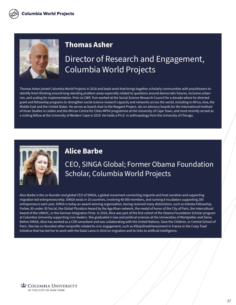

#### **Thomas Asher**

# Director of Research and Engagement, Columbia World Projects

Thomas Asher joined Columbia World Projects in 2018 and leads work that brings together scholarly communities with practitioners to identify fresh thinking around long-standing problem areas especially related to questions around democratic futures, inclusive urbanism, and scaling for implementation. Prior to CWP, Tom worked at the Social Science Research Council for a decade where he directed grant and fellowship programs to strengthen social science research capacity and networks across the world, including in Africa, Asia, the Middle East and the United States. He serves as board chair to the Reagent Project, sits on advisory boards for the International Institute of Asian Studies in Leiden and the African Centre for Cities MPhil programme at the University of Cape Town, and most recently served as a visiting fellow at the University of Western Cape in 2019. He holds a Ph.D. in anthropology from the University of Chicago.



#### **Alice Barbe**

CEO, SINGA Global; Former Obama Foundation Scholar, Columbia World Projects

Alice Barbe is the co-founder and global CEO of SINGA, a global movement connecting migrants and host societies and supporting migration led entrepreneurship. SINGA exists in 10 countries, involving 40 000 members, and running 8 incubators supporting 200 entrepreneurs each year. SINGA is today an award-winning organization, having received many distinctions, such as Ashoka Fellowship, Forbes 30-under-30 Social, the Global Pluralism Award by the Aga Khan network, the medal of honor of the City of Paris, the Intercultural Award of the UNAOC, or the German Integration Prize. In 2018, Alice was part of the first cohort of the Obama Foundation Scholar program at Columbia University supporting civic leaders. She graduated in law and political sciences at the Universities of Montpellier and Siena. Before SINGA, Alice has worked as a CSR consultant and was collaborating with the United Nations, Save the Children, or Central School of Paris. She has co-founded other nonprofits related to civic engagement, such as #StopStreetHarassment in France or the Crazy Toad Initiative that has led her to work with the Dalaï Lama in 2018 on migration and its links to artificial intelligence.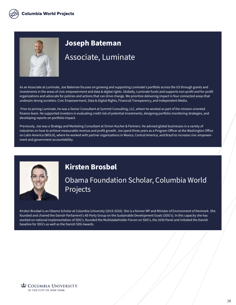

# **Joseph Bateman** Associate, Luminate

As an Associate at Luminate, Joe Bateman focuses on growing and supporting Luminate's portfolio across the US through grants and investments in the areas of civic empowerment and data & digital rights. Globally, Luminate funds and supports non-profit and for-profit organizations and advocate for policies and actions that can drive change. We prioritize delivering impact in four connected areas that underpin strong societies: Civic Empowerment, Data & Digital Rights, Financial Transparency, and Independent Media.

 Prior to joining Luminate, he was a Senior Consultant at Summit Consulting, LLC, where he worked as part of the mission-oriented finance team. He supported investors in evaluating credit risk of potential investments, designing portfolio monitoring strategies, and developing reports on portfolio impact.

Previously, Joe was a Strategy and Marketing Consultant at Simon-Kucher & Partners. He advised global businesses in a variety of industries on how to achieve measurable revenue and profit growth. Joe spent three years as a Program Officer at the Washington Office on Latin America (WOLA), where he worked with partner organizations in Mexico, Central America, and Brazil to increase civic empowerment and government accountability.



#### **Kirsten Brosbøl**

Obama Foundation Scholar, Columbia World Projects

Kirsten Brosbøl is an Obama Scholar at Columbia University (2019-2020). She is a former MP and Minister of Environment of Denmark. She founded and chaired the Danish Parliament's All-Party Group on the Sustainable Development Goals (SDG's). In this capacity she has worked on national implementation of SDG's, founded the Multistakeholder Forum on SDG's, the 2030 Panel and initiated the Danish baseline for SDG's as well as the Danish SDG Awards.

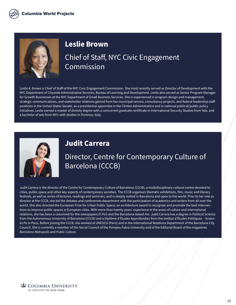

#### **Leslie Brown**

## Chief of Staff, NYC Civic Engagement **Commission**

Leslie A. Brown is Chief of Staff of the NYC Civic Engagement Commission. She most recently served as Director of Development with the NYC Department of Citywide Administrative Services, Bureau of Learning and Development. Leslie also served as Senior Program Manager for Growth Businesses at the NYC Department of Small Business Services. She is experienced in program design and management, strategic communications, and stakeholder relations gained from her municipal service, consultancy projects, and federal leadership staff positions in the United States Senate, as a presidential appointee in the Clinton Administration and in national political/public policy initiatives. Leslie earned a master of divinity degree with a concurrent graduate certificate in International Security Studies from Yale, and a bachelor of arts from NYU with studies in Florence, Italy.



#### **Judit Carrera**

#### Director, Centre for Contemporary Culture of Barcelona (CCCB)

Judit Carrera is the director of the Centre for Contemporary Culture of Barcelona (CCCB), a multidisciplinary cultural centre devoted to cities, public space and other key aspects of contemporary societies. The CCCB organises thematic exhibitions, film, music and literary festivals, as well as series of lectures, readings and seminars, and is deeply rooted in Barcelona and open to the world. Prior to her role as director at the CCCB, she led the debates and conferences department with the participation of academics and writers from all over the world. She also directed the European Prize for Urban Public Space, an architecture award to recognize and promote the best interventions to improve public spaces in European cities. With more than twenty years' experience in the areas of culture and international relations, she has been a columnist for the newspapers *El País* and the Barcelona-based *Ara*. Judit Carrera has a degree in Political Science from the Autonomous University of Barcelona (CCCB) and a Diplôme d'Études Approfondies from the Institut d'Études Politiques – Sciences Po in Paris. Before joining the CCCB, she worked at UNESCO (Paris) and in the International Relations Department of the Barcelona City Council. She is currently a member of the Social Council of the Pompeu Fabra University and of the Editorial Board of the magazines *Barcelona Metropolis* and *Public Culture*.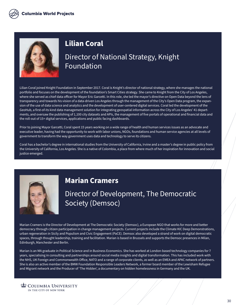

#### **Lilian Coral**

## Director of National Strategy, Knight Foundation

Lilian Coral joined Knight Foundation in September 2017. Coral is Knight's director of national strategy, where she manages the national portfolio and focuses on the development of the foundation's Smart Cities strategy. She came to Knight from the City of Los Angeles, where she served as chief data officer for Mayor Eric Garcetti. In this role, she led the mayor's directive on Open Data beyond the lens of transparency and towards his vision of a data-driven Los Angeles through the management of the City's Open Data program, the expansion of the use of data science and analytics and the development of user-centered digital services. Coral led the development of the GeoHub, a first-of-its kind data management solution for integrating geospatial information across the City of Los Angeles' 41 departments, and oversaw the publishing of 1,100 city datasets and APIs, the management of five portals of operational and financial data and the roll-out of 15+ digital services, applications and public facing dashboards.

Prior to joining Mayor Garcetti, Coral spent 15 years working on a wide range of health and human services issues as an advocate and executive leader, having had the opportunity to work with labor unions, NGOs, foundations and human service agencies at all levels of government to transform the way government uses data and technology to serve its citizens.

Coral has a bachelor's degree in international studies from the University of California, Irvine and a master's degree in public policy from the University of California, Los Angeles. She is a native of Colombia, a place from where much of her inspiration for innovation and social justice emerged.



#### **Marian Cramers**

Director of Development, The Democratic Society (Demsoc)

Marian Cramers is the Director of Development at The Democratic Society (Demsoc), a European NGO that works for more and better democracy through citizen participation in change management projects. Current projects include the Climate KIC Deep Demonstrations, urban regeneration in Sicily and Populism and Civic Engagement (PaCE). Demsoc also developed a strand of work on digital democratic spaces, through thought leadership, training and facilitation. Marian is based in Brussels and supports the Demsoc presences in Milan, Edinburgh, Manchester and Berlin.

Marian is an MA graduate in Political Science and in Business Economics. She has worked at London-based technology companies for 7 years, specialising in consulting and partnerships around social media insights and digital transformation. This has included work with the NHS, UK Foreign and Commonwealth Office, NATO and a range of corporate clients, as well as an EMEA and APAC network of partners. She is also an active member of the BMW Foundation Responsible Leaders Network, a former board member of the Lewisham Refugee and Migrant network and the Producer of 'The Hidden', a documentary on hidden homelessness in Germany and the UK.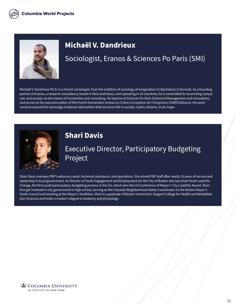

#### **Michaël V. Dandrieux**

# Sociologist, Eranos & Sciences Po Paris (SMI)

Michaël V. Dandrieux Ph.D. is a French sociologist, from the tradition of sociology of imagination (G.Bachelard, G.Durand). As a founding partner of Eranos, a research consultancy based in Paris and Seoul, and operating in 10 countries, he is committed to reconciling companies and society via the means of humanities and consulting. He teaches at Sciences Po Paris (School of Management and Innovation), and serves as the executive editor of the French humanities review *Les Cahiers Européens de l'Imaginaire* (CNRS Editions). His work revolves around the seemingly irrational rationalities that structure life in society: myths, dreams, trust, hope.



#### **Shari Davis**

# Executive Director, Participatory Budgeting Project

Shari Davis oversees PBP's advocacy work, technical assistance, and operations. She joined PBP staff after nearly 15 years of service and leadership in local government. As Director of Youth Engagement and Employment for the City of Boston she launched Youth Lead the Change, the first youth participatory budgeting process in the US, which won the US Conference of Mayors' City Livability Award. Shari first got involved in city government in high school, serving as the Citywide Neighborhood Safety Coordinator on the Boston Mayor's Youth Council and working at the Mayor's Youthline. Shari is a graduate of Boston University's Sargent College for Health and Rehabilitation Sciences and holds a master's degree in anatomy and physiology.

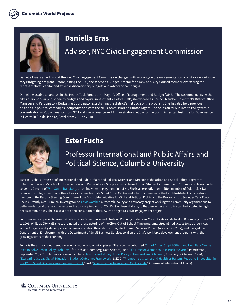

#### **Daniella Eras**

#### Advisor, NYC Civic Engagement Commission

Daniella Eras is an Advisor at the NYC Civic Engagement Commission charged with working on the implementation of a citywide Participatory Budgeting program. Before joining the CEC, she served as Budget Director for a New York City Council Member overseeing the representative's capital and expense discretionary budgets and advocacy campaigns.

Daniella was also an analyst in the Health Task Force at the Mayor's Office of Management and Budget (OMB). The taskforce oversaw the city's billion-dollar public health budgets and capital investments. Before OMB, she worked as Council Member Rosenthal's District Office Manager and Participatory Budgeting Coordinator establishing the district's first cycle of the program. She has also held previous positions in political campaigns, nonprofits and with the NYC Commission on Human Rights. She holds an MPA in Health Policy with a concentration in Public Finance from NYU and was a Finance and Administration Fellow for the South American Institute for Governance in Health in Rio de Janeiro, Brazil from 2017 to 2018.



#### **Ester Fuchs**

#### Professor International and Public Affairs and Political Science, Columbia University

Ester R. Fuchs is Professor of International and Public Affairs and Political Science and Director of the Urban and Social Policy Program at Columbia University's School of International and Public Affairs. She previously chaired Urban Studies for Barnard and Columbia Colleges. Fuchs serves as Director of [WhosOntheBallot.org](http://whosontheballot.org/), an online voter engagement initiative. She is an executive committee member of Columbia's Data Science Institute, a member of the advisory committee of its Smart Cities Center and a faculty member of the Earth Institute. Fuchs is also a member of the Faculty Steering Committee of the Eric Holder Initiative for Civil and Political Rights and the Provost's Just Societies Task Force. She is currently a co-Principal Investigator on [CovidWatcher,](https://covidwatcher.dbmi.columbia.edu/) a research, policy and advocacy project working with community organizations to better understand the health effects and secondary impacts of COVID-19 on New Yorkers, so that resources and policy can be targeted to high needs communities. She is also a pro bono consultant to the New Pride Agenda's civic engagement project.

Fuchs served as Special Advisor to the Mayor for Governance and Strategic Planning under New York City Mayor Michael R. Bloomberg from 2001 to 2005. While at City Hall, she coordinated the restructuring of the City's Out-of-School Time programs, streamlined access to social services across 13 agencies by developing an online application through the Integrated Human Services Project (Access New York); and merged the Department of Employment with the Department of Small Business Services to align the City's workforce development programs with the growing sectors of the economy.

Fuchs is the author of numerous academic works and opinion pieces. She recently published "Smart Cities, Stupid Cities, and How Data Can be [Used to Solve Urban Policy Problems](https://www.techatbloomberg.com/blog/smart-cities-stupid-cities-and-how-data-can-be-used-to-solve-urban-policy-problems/)," for Tech at Bloomberg, Data Science, "and ["It's Time for Women to Take Back the Vote](http://www.powherny.org/2018/09/25/its-time-for-women-to-take-back-the-vote/)," PowHerNYC, September 25, 2018. Her major research includes [Mayors and Money: Fiscal Policy in New York and Chicago](https://press.uchicago.edu/ucp/books/book/chicago/M/bo3644218.html) (University of Chicago Press); ["Evaluating Global Digital Education: Student Outcomes Framework"](https://www.oecd.org/pisa/evaluating-global-digitaleducation-student-outcomes-framework-paper.htm) (OECD) ["Promoting a Cleaner and Healthier Harlem: Reducing Street Litter in](https://www.125thstreet.nyc/wp-content/uploads/2017/08/125th-Street_Promoting-a-Cleaner-and-Healthier-Harlem-FINAL.pdf) [the 125th Street Business Improvement District,](https://www.125thstreet.nyc/wp-content/uploads/2017/08/125th-Street_Promoting-a-Cleaner-and-Healthier-Harlem-FINAL.pdf)" and "[Governing the Twenty-First Century City](https://jia.sipa.columbia.edu/governing-twenty-first-century-city)," (Journal of International Affairs).

COLUMBIA UNIVERSITY IN THE CITY OF NEW YORK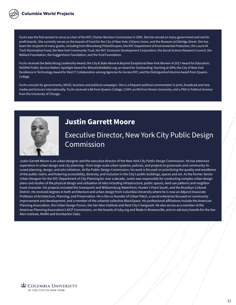Fuchs was the first woman to serve as chair of the NYC Charter Revision Commission in 2005. She has served on many government and not-for profit boards. She currently serves on the boards of Fund for the City of New York, Citizens Union, and the Museum at Eldridge Street. She has been the recipient of many grants, including from Bloomberg Philanthropies, the NYC Department of Environmental Protection, the Laurie M. Tisch Illumination Fund, the New York Community Trust, the NYC Economic Development Corporation, the Social Science Research Council, the Wallace Foundation, the Guggenheim Foundation, and the Ford Foundation.

Fuchs received the Bella Abzug Leadership Award; the City & State Above & Beyond Exceptional New York Women of 2017 Award for Education; NASPAA Public Service Matters Spotlight Award for WhosOntheBallot.org; an Award for Outstanding Teaching at SIPA; the City of New York Excellence in Technology Award for Best IT Collaboration among Agencies for Access NYC; and the Distinguished Alumna Award from Queens College.

Fuchs consults for governments, NGOS, business and political campaigns. She is a frequent political commentator in print, broadcast and new media and lectures internationally. Fuchs received a BA from Queens College, CUNY; an MA from Brown University; and a PhD in Political Science from the University of Chicago.



#### **Justin Garrett Moore**

Executive Director, New York City Public Design Commission

Justin Garrett Moore is an urban designer and the executive director of the New York City Public Design Commission. He has extensive experience in urban design and city planning—from large-scale urban systems, policies, and projects to grassroots and community-focused planning, design, and arts initiatives. At the Public Design Commission, his work is focused on prioritizing the quality and excellence of the public realm, and fostering accessibility, diversity, and inclusion in the City's public buildings, spaces and art. As the former Senior Urban Designer for the NYC Department of City Planning for over a decade, Justin was responsible for conducting complex urban design plans and studies of the physical design and utilization of sites including infrastructure, public spaces, land use patterns and neighborhood character. His projects included the Greenpoint and Williamsburg Waterfront, Hunter's Point South, and the Brooklyn Cultural District. He received degrees in both architecture and urban design from Columbia University where he is now an Adjunct Associate Professor of Architecture, Planning, and Preservation. He is the co-founder of Urban Patch, a social enterprise focused on community improvement and development, and a member of the urbanist collective BlackSpace. His professional affiliations include the American Planning Association, the Urban Design Forum, the Van Alen Institute and Next City's Vanguard. He also serves as a member of the American Planning Association's AICP Commission, on the boards of ioby.org and Made in Brownsville, and on advisory boards for the Van Alen Institute, MoMA and Dumbarton Oaks.

COLUMBIA UNIVERSITY IN THE CITY OF NEW YORK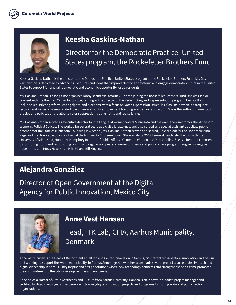

#### **Keesha Gaskins-Nathan**

Director for the Democratic Practice–United States program, the Rockefeller Brothers Fund

Keesha Gaskins-Nathan is the director for the Democratic Practice–United States program at the Rockefeller Brothers Fund. Ms. Gaskins-Nathan is dedicated to advancing measures and ideas that improve democratic systems and engage democratic culture in the United States to support full and fair democratic and economic opportunity for all residents.

Ms. Gaskins-Nathan is a long-time organizer, lobbyist and trial attorney. Prior to joining the Rockefeller Brothers Fund, she was senior counsel with the Brennan Center for Justice, serving as the director of the Redistricting and Representation program. Her portfolio included redistricting reform, voting rights, and elections, with a focus on voter suppression issues. Ms. Gaskins-Nathan is a frequent lecturer and writer on issues related to women and politics, movement building and democratic reform. She is the author of numerous articles and publications related to voter suppression, voting rights and redistricting.

Ms. Gaskins-Nathan served as executive director for the League of Women Voters Minnesota and the executive director for the Minnesota Women's Political Caucus. She worked for several years as a civil trial attorney, and also served as a special assistant appellate public defender for the State of Minnesota. Following law school, Ms. Gaskins-Nathan served as a shared judicial clerk for the Honorable Alan Page and the Honorable Joan Ericksen at the Minnesota Supreme Court. She was also a 2008 Feminist Leadership Fellow with the University of Minnesota, Hubert H. Humphrey Institute of Public Affairs - Center on Women and Public Policy. She is a frequent commentator on voting rights and redistricting reform and regularly appears on numerous news and public affairs programming, including past appearances on PBS's NewsHour, MSNBC and Bill Moyers.

# **Alejandra González**

Director of Open Government at the Digital Agency for Public Innovation, Mexico City



#### **Anne Vest Hansen**

## Head, ITK Lab, CFIA, Aarhus Municipality, Denmark

Anne Vest Hansen is the Head of Department at ITK lab and Center Innovation in Aarhus, an internal cross-sectoral innovation and design unit working to support the whole municipality. In Aarhus Anne together with her team leads several project to accelerate civic tech and digital citizenship in Aarhus. They inspire and design solutions where new technology connects and strengthens the citizens, promotes their commitment to the city's development as active citizens.

Anne holds a Master of Arts in Aesthetics and Culture from Aarhus University. Hansen is an innovation leader, project manager and certified facilitator with years of experience in leading digital innovation projects and programs for both private and public sector organizations.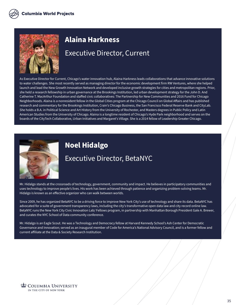

#### **Alaina Harkness**

#### Executive Director, Current

As Executive Director for Current, Chicago's water innovation hub, Alaina Harkness leads collaborations that advance innovative solutions to water challenges. She most recently served as managing director for the economic development firm RW Ventures, where she helped launch and lead the New Growth Innovation Network and developed inclusive growth strategies for cities and metropolitan regions. Prior, she held a research fellowship in urban governance at the Brookings Institution, led urban development strategy for the John D. And Catherine T. MacArthur Foundation and staffed civic collaboratives: The Partnership for New Communities and 2016 Fund for Chicago Neighborhoods. Alaina is a nonresident fellow in the Global Cities program at the Chicago Council on Global Affairs and has published research and commentary for the Brookings Institution, Crain's Chicago Business, the San Francisco Federal Reserve Bank and CityLab. She holds a B.A. in Political Science and Art History from the University of Rochester, and Masters degrees in Public Policy and Latin American Studies from the University of Chicago. Alaina is a longtime resident of Chicago's Hyde Park neighborhood and serves on the boards of the CityTech Collaborative, Urban Initiatives and Margaret's Village. She is a 2014 fellow of Leadership Greater Chicago.



#### **Noel Hidalgo**

#### Executive Director, BetaNYC

Mr. Hidalgo stands at the crossroads of technology, government, community and impact. He believes in participatory communities and uses technology to improve people's lives. His work has been achieved through patience and organizing problem-solving teams. Mr. Hidalgo is known as an effective organizer who can walk between worlds.

Since 2009, he has organized BetaNYC to be a driving force to improve New York City's use of technology and share its data. BetaNYC has advocated for a suite of government transparency laws, including the city's transformative open data law and city record online law. BetaNYC runs the New York City Civic Innovation Lab/ Fellows program, in partnership with Manhattan Borough President Gale A. Brewer, and curates the NYC School of Data community conference.

Mr. Hidalgo is an Eagle Scout. He was a Technology and Democracy fellow at Harvard Kennedy School's Ash Center for Democratic Governance and Innovation; served as an inaugural member of Code for America's National Advisory Council, and is a former fellow and current affiliate at the Data & Society Research Institution.

**COLUMBIA UNIVERSITY** IN THE CITY OF NEW YORK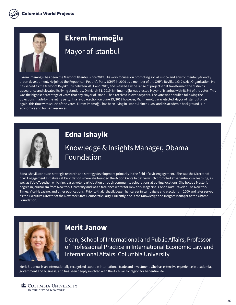

# **Ekrem İmamoğlu**

Mayor of Istanbul

Ekrem İmamoğlu has been the Mayor of Istanbul since 2019. His work focuses on promoting social justice and environmentally-friendly urban development. He joined the Republican People's Party (CHP) in 2009 as a member of the CHP's Beylikdüzü District Organization. He has served as the Mayor of Beylikdüzü between 2014 and 2019, and realized a wide range of projects that transformed the district's appearance and elevated its living standards. On March 31, 2019, Mr. İmamoğlu was elected Mayor of Istanbul with 48.8% of the votes. This was the highest percentage of votes that any Mayor of Istanbul had received in over 30 years. The vote was annulled following the objections made by the ruling party. In a re-do election on June 23, 2019 however, Mr. İmamoğlu was elected Mayor of Istanbul once again–this time with 54.2% of the votes. Ekrem İmamoğlu has been living in Istanbul since 1988, and his academic background is in economics and human resources.



#### **Edna Ishayik**

# Knowledge & Insights Manager, Obama Foundation

Edna Ishayik conducts strategic research and strategy development primarily in the field of civic engagement. She was the Director of Civic Engagement Initiatives at Civic Nation where she founded the Action Civics Initiative which promoted experiential civic learning; as well as #VoteTogether, which increases voter participation through community celebrations at polling locations. She holds a Master's degree in journalism from New York University and was a freelance writer for New York Magazine, Conde Nast Traveler, The New York Times, Vice Magazine, and other publications. Prior to that, Ishayik began her career in campaigns and elections in 2000 and later served as the Executive Director of the New York State Democratic Party. Currently, she is the Knowledge and Insights Manager at the Obama Foundation.



#### **Merit Janow**

Dean, School of International and Public Affairs; Professor of Professional Practice in International Economic Law and International Affairs, Columbia University

Merit E. Janow is an internationally recognized expert in international trade and investment. She has extensive experience in academia, government and business, and has been deeply involved with the Asia-Pacific region for her entire life.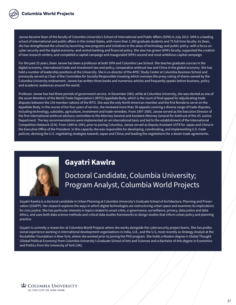Janow became Dean of the faculty of Columbia University's School of International and Public Affairs (SIPA) in July 2013. SIPA is a leading school of international and public affairs in the United States, with more than 1,300 graduate students and 75 full time faculty. As Dean, she has strengthened the school by launching new programs and initiatives in the areas of technology and public policy–with a focus on cyber security and the digital economy–and central banking and financial policy. She also has grown SIPA's faculty; supported the creation of new research centers; and completed a capital campaign and inaugurated SIPA's second and most ambitious capital campaign.

For the past 25 years, Dean Janow has been a professor at both SIPA and Columbia Law School. She teaches graduate courses in the digital economy, international trade and investment law and policy, comparative antitrust law and China in the global economy. She has held a number of leadership positions at the University. She is co-director of the APEC Study Center at Columbia Business School and previously served as Chair of the Committee for Socially Responsible Investing which oversees the proxy voting of shares owned by the Columbia University endowment. Janow has written three books and numerous articles and frequently speaks before business, policy and academic audiences around the world.

Professor Janow has had three periods of government service. In December 2003, while at Columbia University, she was elected as one of the seven Members of the World Trade Organization's (WTO) Appellate Body, which is the court of final appeal for adjudicating trade disputes between the 154 member nations of the WTO. She was the only North American member and the first female to serve on the Appellate Body. In the course of her four years of service, she reviewed more than 30 appeals covering a diverse range of trade disputes, including technology, subsidies, agriculture, investment and trade remedies. From 1997-2000, Janow served as the Executive Director of the first international antitrust advisory committee to the Attorney General and Assistant Attorney General for Antitrust of the US Justice Department. The key recommendations were implemented on an international basis and led to the establishment of the International Competition Network (ICN). From 1989 to 1993, prior to joining Columbia, Janow served as Deputy Assistant USTR for Japan and China in the Executive Office of the President. In this capacity she was responsible for developing, coordinating, and implementing U.S. trade policies; devising the U.S. negotiating strategies towards Japan and China; and leading the negotiations for a dozen trade agreements.



#### **Gayatri Kawlra**

# Doctoral Candidate, Columbia University; Program Analyst, Columbia World Projects

Gayatri Kawlra is a doctoral candidate in Urban Planning at Columbia University's Graduate School of Architecture, Planning and Preservation (GSAPP). Her research explores the ways in which digital technologies are restructuring urban space and examines its implications for civic justice. She has particular interests in topics related to smart cities, e-governance, surveillance, privacy, data justice and data ethics, and uses both data science methods and critical data studies frameworks to design studies that inform urban policy and planning practice.

Gayatri is currently a researcher at Columbia World Projects where she works alongside the cybersecurity project teams. She has professional experience working in international development organizations in India, U.K., and the U.S, most recently as Strategy Analyst at the Rockefeller Foundation in New York, where she worked prior to joining the PhD program. She holds a Masters degree in Global Thought (Global Political Economy) from Columbia University's Graduate School of Arts and Sciences and a Bachelor of Arts degree in Economics and Politics from the University of York (UK).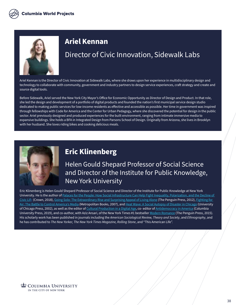

#### **Ariel Kennan**

## Director of Civic Innovation, Sidewalk Labs

Ariel Kennan is the Director of Civic Innovation at Sidewalk Labs, where she draws upon her experience in multidisciplinary design and technology to collaborate with community, government and industry partners to design service experiences, craft strategy and create and source digital tools.

Before Sidewalk, Ariel served the New York City Mayor's Office for Economic Opportunity as Director of Design and Product. In that role, she led the design and development of a portfolio of digital products and founded the nation's first municipal service design studio dedicated to making public services for low-income residents as effective and accessible as possible. Her time in government was inspired through fellowships with Code for America and the Center for Urban Pedagogy, where she discovered the potential for design in the public sector. Ariel previously designed and produced experiences for the built environment, ranging from intimate immersive media to expansive buildings. She holds a BFA in Integrated Design from Parsons School of Design. Originally from Arizona, she lives in Brooklyn with her husband. She loves riding bikes and cooking delicious meals.



#### **Eric Klinenberg**

Helen Gould Shepard Professor of Social Science and Director of the Institute for Public Knowledge, New York University

Eric Klinenberg is Helen Gould Shepard Professor of Social Science and Director of the Institute for Public Knowledge at New York University. He is the author of Palaces for the People: How Social Infrastructure Can Help Fight Inequality, Polarization, and the Decline of [Civic Life](https://www.penguinrandomhouse.com/books/557044/palaces-for-the-people-by-eric-klinenberg/) (Crown, 2018), [Going Solo: The Extraordinary Rise and Surprising Appeal of Living Alone](https://www.penguinrandomhouse.com/books/305485/going-solo-by-eric-klinenberg/) (The Penguin Press, 2012), [Fighting for](https://us.macmillan.com/books/9781429923606)  [Air: The Battle to Control America's Media](https://us.macmillan.com/books/9781429923606) (Metropolitan Books, 2007), and [Heat Wave: A Social Autopsy of Disaster in Chicago](https://press.uchicago.edu/ucp/books/book/chicago/H/bo20809880.html) (University of Chicago Press, 2002), as well as the editor of [Cultural Production in a Digital Age](https://journals.sagepub.com/doi/abs/10.1177/0002716204270420?journalCode=anna), co- editor of [Antidemocracy in America](http://cup.columbia.edu/book/antidemocracy-in-america/9780231190114) (Columbia University Press, 2019), and co-author, with Aziz Ansari, of the New York Times #1 bestseller [Modern Romance](https://www.penguinrandomhouse.com/books/317123/modern-romance-by-aziz-ansari-with-eric-klinenberg/) (The Penguin Press, 2015). His scholarly work has been published in journals including the *American Sociological Review, Theory and Society*, and *Ethnography*, and he has contributed to *The New Yorker, The New York Times Magazine, Rolling Stone*, and "This American Life".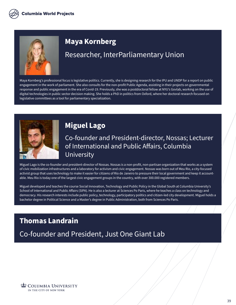

#### **Maya Kornberg**

#### Researcher, InterParliamentary Union

Maya Kornberg's professional focus is legislative politics. Currently, she is designing research for the IPU and UNDP for a report on public engagement in the work of parliament. She also consults for the non-profit Public Agenda, assisting in their projects on governmental response and public engagement in the era of Covid-19. Previously, she was a postdoctoral fellow at NYU's Govlab, working on the use of digital technologies in public sector decision making. She holds a PhD in politics from Oxford, where her doctoral research focused on legislative committees as a tool for parliamentary specialization.



#### **Miguel Lago**

#### Co-founder and President-director, Nossas; Lecturer of International and Public Affairs, Columbia University

Miguel Lago is the co-founder and president-director of Nossas. Nossas is a non-profit, non-partisan organization that works as a system of civic mobilization infrastructures and a laboratory for activism and civic engagement. Nossas was born out of Meu Rio, a city-focused activist group that uses technology to make it easier for citizens of Rio de Janeiro to pressure their local government and keep it accountable. Meu Rio is today one of the largest civic engagement groups in the country, with over 300.000 registered members.

Miguel developed and teaches the course Social Innovation, Technology and Public Policy in the Global South at Columbia University's School of International and Public Affairs (SIPA). He is also a lecturer at Sciences Po Paris, where he teaches a class on technology and democracy. His research interests include public policy, technology, participatory politics and citizen-led city development. Miguel holds a bachelor degree in Political Science and a Master's degree in Public Administration, both from Sciences Po Paris.

#### **Thomas Landrain**

Co-founder and President, Just One Giant Lab

**L** COLUMBIA UNIVERSITY IN THE CITY OF NEW YORK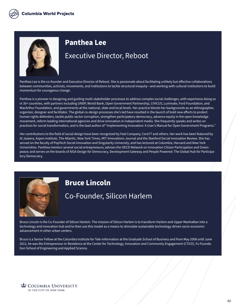

#### **Panthea Lee**

#### Executive Director, Reboot

Panthea Lee is the co-founder and Executive Director of Reboot. She is passionate about facilitating unlikely but effective collaborations between communities, activists, movements, and institutions to tackle structural inequity—and working with cultural institutions to build momentum for courageous change.

Panthea is a pioneer in designing and guiding multi-stakeholder processes to address complex social challenges, with experience doing so in 30+ countries, with partners including UNDP, World Bank, Open Government Partnership, CIVICUS, Luminate, Ford Foundation, and MacArthur Foundation, and governments at the national, state and local levels. Her practice blends her backgrounds as an ethnographer, organizer, designer and facilitator. The global co-design processes she's led have resulted in the launch of bold new efforts to protect human rights defenders, tackle public sector corruption, strengthen participatory democracy, advance equity in the open knowledge movement, reform leading international agencies and drive innovation in independent media. She frequently speaks and writes on practices for social transformation, and is the lead author of "Implementing Innovation: A User's Manual for Open Government Programs."

Her contributions to the field of social design have been recognized by Fast Company, Core77 and others. Her work has been featured by Al Jazeera, Aspen Institute, The Atlantic, New York Times, MIT Innovations Journal and the Stanford Social Innovation Review. She has served on the faculty of PopTech Social Innovation and Singularity University, and has lectured at Columbia, Harvard and New York Universities. Panthea mentors several social entrepreneurs; advises the OECD Network on Innovation Citizen Participation and Greenpeace; and serves on the boards of AIGA Design for Democracy, Development Gateway and People Powered: The Global Hub for Participatory Democracy.



#### **Bruce Lincoln**

#### Co-Founder, Silicon Harlem

Bruce Lincoln is the Co-Founder of Silicon Harlem. The mission of Silicon Harlem is to transform Harlem and Upper Manhattan into a technology and innovation hub and to then use this model as a means to stimulate sustainable technology-driven socio-economic advancement in other urban centers.

Bruce is a Senior Fellow at the Columbia Institute for Tele-Information at the Graduate School of Business and from May 2008 until June 2011, he was the Entrepreneur-in-Residence at the Center for Technology, Innovation and Community Engagement (CTICE), Fu Foundation School of Engineering and Applied Science.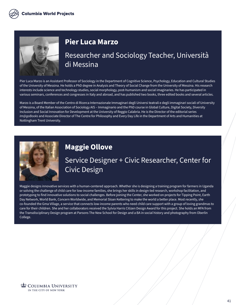

#### **Pier Luca Marzo**

#### Researcher and Sociology Teacher, Università di Messina

Pier Luca Marzo is an Assistant Professor of Sociology in the Department of Cognitive Science, Psychology, Education and Cultural Studies of the University of Messina. He holds a PhD degree in Analysis and Theory of Social Change from the University of Messina. His research interests include science and technology studies, social morphology, post-humanism and social imaginaries. He has participated in various seminars, conferences and congresses in Italy and abroad, and has published two books, three edited books and several articles.

Marzo is a Board Member of the Centro di Ricerca Internazionale Immaginari degli Universi teatrali e degli immaginari sociali of University of Messina, of the Italian Association of Sociology AIS – Immaginario and the PhD course in Global Culture, Digital Society, Diversity Inclusion and Social Innovation for Development at the University of Reggio Calabria. He is the Director of the editorial series *Im@goBooks* and Associate Director of The Centre for Philosophy and Every Day Life in the Department of Arts and Humanities at Nottingham Trent University.



#### **Maggie Ollove**

## Service Designer + Civic Researcher, Center for Civic Design

Maggie designs innovative services with a human-centered approach. Whether she is designing a training program for farmers in Uganda or solving the challenge of child care for low-income families, she brings her skills in design-led research, workshop facilitation, and prototyping to find innovative solutions to social challenges. Before joining the Center, she worked on projects for Tipping Point, Earth Day Network, World Bank, Concern Worldwide, and Memorial Sloan Kettering to make the world a better place. Most recently, she co-founded the Gma Village, a service that connects low-income parents who need child care support with a group of loving grandmas to care for their children. She and her collaborators received the Sylvia Harris Citizen Design Award for this project. She holds an MFA from the Transdisciplinary Design program at Parsons The New School for Design and a BA in social history and photography from Oberlin College.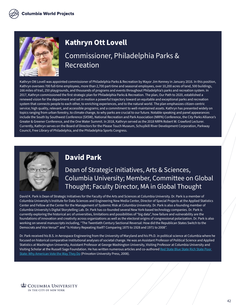

# **Kathryn Ott Lovell**

### Commissioner, Philadelphia Parks & Recreation

Kathryn Ott Lovell was appointed commissioner of Philadelphia Parks & Recreation by Mayor Jim Kenney in January 2016. In this position, Kathryn oversees 700 full-time employees, more than 2,700 part-time and seasonal employees, over 10,200 acres of land, 500 buildings, 166 miles of trail, 250 playgrounds, and thousands of programs and events throughout Philadelphia's parks and recreation system. In 2017, Kathryn commissioned the first strategic plan for Philadelphia Parks & Recreation. The plan, Our Path to 2020, established a renewed vision for the department and set in motion a powerful trajectory toward an equitable and exceptional parks and recreation system that connects people to each other, to enriching experiences, and to the natural world. The plan emphasizes citizen-centric service; high quality, relevant, and accessible programs; and a commitment to well-maintained assets. Kathryn has presented widely on topics ranging from urban forestry, to climate change, to why parks are crucial to our future. Notable speaking and panel appearances include the South by Southwest Conference (SXSW), National Recreation and Park Association (NRPA) Conference, the City Parks Alliance's Greater & Greener Conference, and the One Water Summit. In 2018, Kathryn served as the 2018 NRPA Robert W. Crawford Lecturer. Currently, Kathryn serves on the Board of Directors for the Please Touch Museum, Schuylkill River Development Corporation, Parkway Council, Free Library of Philadelphia, and the Philadelphia Sports Congress.



#### **David Park**

#### Dean of Strategic Initiatives, Arts & Sciences, Columbia University; Member, Committee on Global Thought; Faculty Director, MA in Global Thought

David K. Park is Dean of Strategic Initiatives for the Faculty of the Arts and Sciences at Columbia University. Dr. Park is a member of Columbia University's Institute for Data Sciences and Engineering New Media Center, Director of Special Projects at the Applied Statistics Center and Fellow at the Center for the Management of Systemic Risk at Columbia University. Dr. Park is also a founding member of Columbia University's Digital Storytelling Lab. Dr. Park has co-founded several New York-based technology companies. Dr. Park is currently exploring the historical arc of universities, limitations and possibilities of "big data", how failure and vulnerability are the foundations of innovation and creativity across organizations as well as the electoral origins of congressional polarization. Dr. Park is also working on several manuscripts including, "The Twentieth Century Sectional Reversal: How did the Republican States Switch to the Democrats and Vice Versa?" and "Is History Repeating Itself? Comparing 1875 to 1928 and 1971 to 2008".

Dr. Park received his B.S. in Aerospace Engineering from the University of Maryland and his Ph.D. in political science at Columbia where he focused on historical comparative institutional analyses of societal change. He was an Assistant Professor of Political Science and Applied Statistics at Washington University, Assistant Professor at George Washington University, Visiting Professor at Columbia University and Visiting Scholar at the Russell Sage Foundation. He has written numerous articles and co-authored Red State Blue State Rich State Poor [State: Why American Vote the Way They Do](https://press.princeton.edu/books/paperback/9780691143934/red-state-blue-state-rich-state-poor-state) (Princeton University Press, 2008).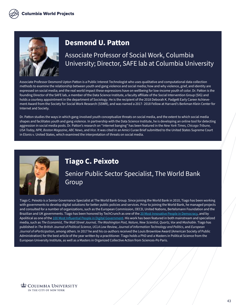

#### **Desmond U. Patton**

#### Associate Professor of Social Work, Columbia University; Director, SAFE lab at Columbia University

Associate Professor Desmond Upton Patton is a Public Interest Technologist who uses qualitative and computational data collection methods to examine the relationship between youth and gang violence and social media; how and why violence, grief, and identity are expressed on social media; and the real world impact these expressions have on wellbeing for low-income youth of color. Dr. Patton is the founding Director of the SAFE lab, a member of the Data Science Institute, a faculty affiliate of the Social Intervention Group (SIG) and holds a courtesy appointment in the department of Sociology. He is the recipient of the 2018 Deborah K. Padgett Early Career Achievement Award from the Society for Social Work Research (SSWR), and was named a 2017- 2018 Fellow at Harvard's Berkman Klein Center for Internet and Society.

Dr. Patton studies the ways in which gang-involved youth conceptualize threats on social media, and the extent to which social media shapes and facilitates youth and gang violence. In partnership with the Data Science Institute, he is developing an online tool for detecting aggression in social media posts. Dr. Patton's research on "internet banging" has been featured in the *New York Times, Chicago Tribune, USA Today, NPR, Boston Magazine, ABC News*, and *Vice*. It was cited in an Amici Curae Brief submitted to the United States Supreme Court in Elonis v. United States, which examined the interpretation of threats on social media.



#### **Tiago C. Peixoto**

Senior Public Sector Specialist, The World Bank Group

Tiago C. Peixoto is a Senior Governance Specialist at The World Bank Group. Since joining the World Bank in 2010, Tiago has been working with governments to develop digital solutions for better public policies and services. Prior to joining the World Bank, he managed projects and consulted for a number of organizations, such as the European Commission, OECD, United Nations, Bertelsmann Foundation and the Brazilian and UK governments. Tiago has been honored by TechCrunch as one of the [20 Most Innovative People in Democracy,](https://techcrunch.com/2012/11/03/the-20-most-innovative-people-in-democracy-2012/?guccounter=1&guce_referrer=aHR0cHM6Ly93d3cuZ29vZ2xlLmNvbS8&guce_referrer_sig=AQAAAM-sqfAJmNbb_cRB0yUMSdviVh9_xgdtRzVeg5WNKbk8-ASe8qbjJPiTWpVGLTZuhS5zoj8usiTVInVlouPJvlE3BYEE-jEuROJnhjnEneGM0B6iHCMI2mIfw9UGqbfoFSlrE8zoMId68loTP6PFMspO7GS3zzU4RUO3sH8c75wD) and by Apolitical as one of the [100 Most Influential People in Digital Government.](https://apolitical.co/lists/digital-government-world100/) His work has been featured in both mainstream and specialized media, such as *The Economist, The Wall Street Journal, The Washington Post, Nature, New Scientist, Quartz, Vox* and *Mashable*. Tiago has published in *The British Journal of Political Science, UCLA Law Review, Journal of Information Technology and Politics*, and *European Journal of eParticipation*, among others. In 2017 he and his co-authors received the Louis Brownlow Award (American Society of Public Administration) for the best article of the year written by a practitioner. Tiago holds a PhD and a Masters in Political Science from the European University Institute, as well as a Masters in Organized Collective Action from Sciences-Po Paris.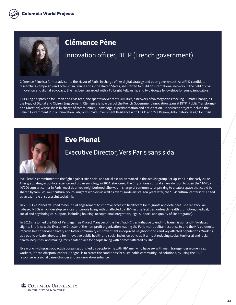

#### **Clémence Pène**

#### Innovation officer, DITP (French government)

Clémence Pène is a former advisor to the Mayor of Paris, in charge of her digital strategy and open government. As a PhD candidate researching campaigns and activism in France and in the United States, she started to build an international network in the field of civic innovation and digital advocacy. She has been awarded with a Fulbright Fellowship and two Google fellowships for young innovators.

 Pursuing her passion for urban and civic tech, she spent two years at C40 Cities, a network of 96 megacities tackling Climate Change, as the Head of Digital and Citizen Engagement. Clémence is now part of the French Government Innovation team at DITP (Public Transformation Direction) where she is in charge of communities, knowledge, experimentation and anticipation. Her current projects include the French Government Public Innovation Lab, Post-Covid Government Resilience with OECD and 27e Region, Anticipatory Design for Crisis.



#### **Eve Plenel**

#### Executive Director, Vers Paris sans sida

Eve Plenel's commitment to the fight against HIV, social and racial exclusion started in the activist group Act Up-Paris in the early 2000s. After graduating in political science and urban sociology in 2004, she joined the City of Paris cultural affairs division to open the "104", a 40'000 sqm art center in Paris' most deprived neighborhood. She was in charge of community-organizing to create a space that could be shared by families, multicultural youth, migrant workers as well as avant-garde artists. Ten years later, the '104' cultural center is still cited as an example of successful social mix.

 In 2010, Eve Plenel returned to her initial engagement to improve access to healthcare for migrants and detainees. She ran two Paris-based NGOs which develop services for people living with or affected by HIV (testing facilities, outreach health promotion, medical, social and psychological support, including housing, occupational integration, legal support, and quality of life programs).

 In 2016 she joined the City of Paris again as Project Manager of the Fast Track Cities Initiative to end HIV transmission and HIV-related stigma. She is now the Executive Director of the non-profit organization leading the Paris metropolitan response to end the HIV epidemic, improve health service delivery and foster community empowerment in deprived neighborhoods and key affected populations. Working as a public-private laboratory for innovative public health and social inclusion policies, it aims at reducing social, territorial and racial health inequities, and making Paris a safer place for people living with or most affected by HIV.

 Eve works with grassroot activist organizations led by people living with HIV, men who have sex with men, transgender women, sex workers, African diaspora leaders. Her goal is to create the conditions for sustainable community-led solutions, by using the AIDS response as a social game-changer and an innovation enhancer.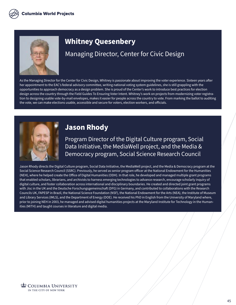

#### **Whitney Quesenbery**

#### Managing Director, Center for Civic Design

As the Managing Director for the Center for Civic Design, Whitney is passionate about improving the voter experience. Sixteen years after her appointment to the EAC's federal advisory committee, writing national voting system guidelines, she is still grappling with the opportunities to approach democracy as a design problem. She is proud of the Center's work to introduce best practices for election design across the country through the Field Guides To Ensuring Voter Intent. Whitney's work on projects from modernizing voter registration to designing usable vote-by-mail envelopes, makes it easier for people across the country to vote. From marking the ballot to auditing the vote, we can make elections usable, accessible and secure for voters, election workers, and officials.



#### **Jason Rhody**

Program Director of the Digital Culture program, Social Data Initiative, the MediaWell project, and the Media & Democracy program, Social Science Research Council

Jason Rhody directs the Digital Culture program, Social Data Initiative, the MediaWell project, and the Media & Democracy program at the Social Science Research Council (SSRC). Previously, he served as senior program officer at the National Endowment for the Humanities (NEH), where he helped create the Office of Digital Humanities (ODH). In that role, he developed and managed multiple grant programs that enabled scholars, librarians, and archivists to harness emerging technologies to advance research, encourage scholarly inquiry of digital culture, and foster collaboration across international and disciplinary boundaries. He created and directed joint grant programs with Jisc in the UK and the Deutsche Forschungsgemeinschaft (DFG) in Germany, and contributed to collaborations with the Research Councils UK, FAPESP in Brazil, the National Science Foundation (NSF), the National Endowment for the Arts (NEA), the Institute of Museum and Library Services (IMLS), and the Department of Energy (DOE). He received his PhD in English from the University of Maryland where, prior to joining NEH in 2003, he managed and advised digital humanities projects at the Maryland Institute for Technology in the Humanities (MITH) and taught courses in literature and digital media.

**COLUMBIA UNIVERSITY** IN THE CITY OF NEW YORK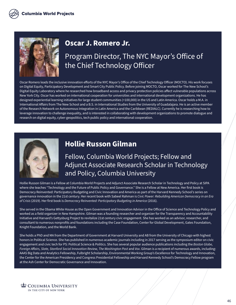

# **Oscar J. Romero Jr.**

### Program Director, The NYC Mayor's Office of the Chief Technology Officer

Oscar Romero leads the inclusive innovation efforts of the NYC Mayor's Office of the Chief Technology Officer (MOCTO). His work focuses on Digital Equity, Participatory Development and Smart City Public Policy. Before joining MOCTO, Oscar worked for The New School's Digital Equity Laboratory where he researched how broadband access and privacy protection policies affect vulnerable populations across New York City. Oscar has worked on international cooperation for universities and international development organizations. He has designed experiential learning initiatives for large student communities (+100,000) in the US and Latin America. Oscar holds a M.A. in International Affairs from The New School and a B.S. in International Studies from the University of Guadalajara. He is an active member of the Research Network on Autonomous Integration in Latin America and the Caribbean (REDIALC). Currently he is researching how to leverage innovation to challenge inequality, and is interested in collaborating with development organizations to promote dialogue and research on digital equity, cyber-geopolitics, tech public policy and international cooperation.



## **Hollie Russon Gilman**

#### Fellow, Columbia World Projects; Fellow and Adjunct Associate Research Scholar in Technology and Policy, Columbia University

Hollie Russon Gilman is a Fellow at Columbia World Projects and Adjunct Associate Research Scholar in Technology and Policy at SIPA where she teaches "Technology and the Future of Public Policy and Governance." She is a Fellow at New America. Her first book is Democracy Reinvented: Participatory Budgeting and Civic Innovation and America as part of the Harvard Kennedy School's series on governance innovation in the 21st century. Her recent book with Sabeel Rahman is *Civic Power: Rebuilding American Democracy in an Era of Crisis* (2019). Her first book is *Democracy Reinvented: Participatory Budgeting in America* (2016).

She served in the Obama White House as the Open Government and Innovation Advisor in the Office of Science and Technology Policy and worked as a field organizer in New Hampshire. Gilman was a founding researcher and organizer for the Transparency and Accountability Initiative and Harvard's Gettysburg Project to revitalize 21st century civic engagement. She has worked as an advisor, researcher, and consultant to numerous nonprofits and foundations including the Case Foundation, Center for Global Development, Gates Foundation, Knight Foundation, and the World Bank.

She holds a PhD and MA from the Department of Government at Harvard University and AB from the University of Chicago with highest honors in Political Science. She has published in numerous academic journals including in 2017 serving as the symposium editor on civic engagement and civic tech for PS: Political Science & Politics. She has several popular audience publications including the *Boston Globe, Foreign Affairs, Slate, Stanford Social Innovation Review, The Washington Post* and *Vox*. Gilman is a recipient of numerous awards, including: AAAS Big Data and Analytics Fellowship, Fulbright Scholarship, Environmental Working Group's Excellence for Technology and Innovation, the Center for the American Presidency and Congress Presidential Fellowship and Harvard Kennedy School's Democracy Fellow program at the Ash Center for Democratic Governance and Innovation.

**COLUMBIA UNIVERSITY** IN THE CITY OF NEW YORK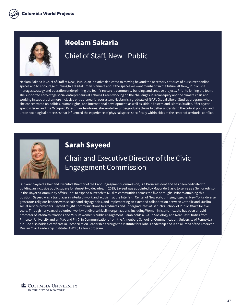

# **Neelam Sakaria** Chief of Staff, New\_ Public

Neelam Sakaria is Chief of Staff at New\_ Public, an initiative dedicated to moving beyond the necessary critiques of our current online spaces and to encourage thinking like digital urban planners about the spaces we want to inhabit in the future. At New\_ Public, she manages strategy and operation underpinning the team's research, community building, and creative projects. Prior to joining the team, she supported early-stage social entrepreneurs at Echoing Green working on the challenges in racial equity and the climate crisis and working in support of a more inclusive entrepreneurial ecosystem. Neelam is a graduate of NYU's Global Liberal Studies program, where she concentrated on politics, human rights, and international development, as well as Middle Eastern and Islamic Studies. After a year spent in Israel and the Occupied Palestinian Territories, she wrote her undergraduate thesis to better understand the critical political and urban sociological processes that influenced the experience of physical space, specifically within cities at the center of territorial conflict.



#### **Sarah Sayeed**

## Chair and Executive Director of the Civic Engagement Commission

Dr. Sarah Sayeed, Chair and Executive Director of the Civic Engagement Commission, is a Bronx resident and has been dedicated to building an inclusive public square for almost two decades. In 2015, Sayeed was appointed by Mayor de Blasio to serve as a Senior Advisor in the Mayor's Community Affairs Unit, to expand outreach to Muslim communities across the five boroughs. Prior to attaining this position, Sayeed was a trailblazer in interfaith work and activism at the Interfaith Center of New York, bringing together New York's diverse grassroots religious leaders with secular and city agencies, and implementing an extended collaboration between Catholic and Muslim social service providers. Sayeed taught Communications to graduates and undergraduates at Baruch's School of Public Affairs for five years. Through her years of volunteer work with diverse Muslim organizations, including Women in Islam, Inc., she has been an avid promoter of interfaith relations and Muslim women's public engagement. Sarah holds a B.A. in Sociology and Near East Studies from Princeton University and an M.A. and Ph.D. in Communications from the Annenberg School for Communication, University of Pennsylvania. She also holds a certificate in Reconciliation Leadership through the Institute for Global Leadership and is an alumna of the American Muslim Civic Leadership Institute (AMCLI) Fellows program.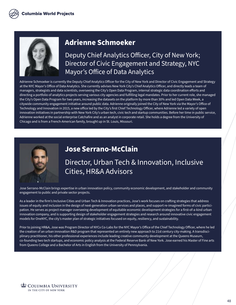

#### **Adrienne Schmoeker**

Deputy Chief Analytics Officer, City of New York; Director of Civic Engagement and Strategy, NYC Mayor's Office of Data Analytics

Adrienne Schmoeker is currently the Deputy Chief Analytics Officer for the City of New York and Director of Civic Engagement and Strategy at the NYC Mayor's Office of Data Analytics. She currently advises New York City's Chief Analytics Officer, and directly leads a team of managers, strategists and data scientists, overseeing the City's Open Data Program, internal strategic data coordination efforts and directing a portfolio of analytics projects serving various city agencies and fulfilling legal mandates. Prior to her current role, she managed the City's Open Data Program for two years, increasing the datasets on the platform by more than 30% and led Open Data Week, a citywide community engagement initiative around public data. Adrienne originally joined the City of New York via the Mayor's Office of Technology and Innovation in 2015, a new office led by the City's first Chief Technology Officer, where Adrienne led a variety of open innovation initiatives in partnership with New York City's urban tech, civic tech and startup communities. Before her time in public service, Adrienne worked at the social enterprise Catchafire and as an analyst in corporate retail. She holds a degree from the University of Chicago and is from a French-American family, brought up in St. Louis, Missouri.



#### **Jose Serrano-McClain**

#### Director, Urban Tech & Innovation, Inclusive Cities, HR&A Advisors

Jose Serrano-McClain brings expertise in urban innovation policy, community economic development, and stakeholder and community engagement to public and private sector projects.

As a leader in the firm's Inclusive Cities and Urban Tech & Innovation practices, Jose's work focuses on crafting strategies that address issues of equity and inclusion in the design of next-generation urban services and places, and support re-imagined forms of civic participation. He serves as project manager overseeing development of equitable economic development strategies for a first-of-a-kind urban innovation company, and is supporting design of stakeholder engagement strategies and research around innovative civic engagement models for OneNYC, the city's master plan of strategic initiatives focused on equity, resiliency, and sustainability.

Prior to joining HR&A, Jose was Program Director of NYCx Co-Labs for the NYC Mayor's Office of the Chief Technology Officer, where he led the creation of an urban innovation R&D program that represented an entirely new approach to 21st century city-making. A transdisciplinary practitioner, his other professional experiences include leading creative community development at the Queens Museum, co-founding two tech startups, and economic policy analysis at the Federal Reserve Bank of New York. Jose earned his Master of Fine arts from Queens College and a Bachelor of Arts in English from the University of Pennsylvania.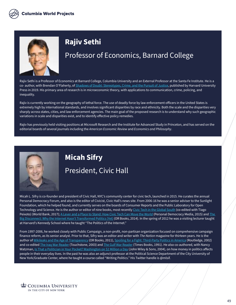

#### **Rajiv Sethi**

#### Professor of Economics, Barnard College

Rajiv Sethi is a Professor of Economics at Barnard College, Columbia University and an External Professor at the Santa Fe Institute. He is a co- author, with Brendan O'Flaherty, of [Shadows of Doubt: Stereotypes, Crime, and the Pursuit of Justice,](https://www.hup.harvard.edu/catalog.php?isbn=9780674976597) published by Harvard University Press in 2019. His primary area of research is in microeconomic theory, with applications to communication, crime, policing, and inequality.

Rajiv is currently working on the geography of lethal force. The use of deadly force by law enforcement officers in the United States is extremely high by international standards, and involves significant disparities by race and ethnicity. Both the scale and the disparities very sharply across states, cities, and law enforcement agencies. The main goal of the proposed research is to understand why such geographic variations in scale and disparities exist, and to identify effective policy remedies.

Rajiv has previously held visiting positions at Microsoft Research and the Institute for Advanced Study in Princeton, and has served on the editorial boards of several journals including the *American Economic Review* and *Economics and Philosophy*.



# **Micah Sifry** President, Civic Hall

Micah L. Sifry is co-founder and president of Civic Hall, NYC's community center for civic tech, launched in 2015. He curates the annual Personal Democracy Forum, and also is the editor of Civicist, Civic Hall's news site. From 2006-16 he was a senior adviser to the Sunlight Foundation, which he helped found, and currently serves on the boards of Consumer Reports and the Public Laboratory for Open Technology and Science. He is the author or editor of nine books, most recently [Civic Tech in the Global South](https://openknowledge.worldbank.org/handle/10986/27947) (co-edited with Tiago Peixoto) (World Bank, 2017); [A Lever and a Place to Stand: How Civic Tech Can Move the World](https://civichall.org/books/lever/) (Personal Democracy Media, 2015) and The [Big Disconnect: Why the Internet Hasn't Transformed Politics \(Yet\)](https://www.orbooks.com/catalog/big-disconnect/) (OR Books, 2014). In the spring of 2012 he was a visiting lecturer taught at Harvard's Kennedy School where he taught "The Politics of the Internet."

From 1997-2006, he worked closely with Public Campaign, a non-profit, non-partisan organization focused on comprehensive campaign finance reform, as its senior analyst. Prior to that, Sifry was an editor and writer with *The Nation* magazine for thirteen years. He is the author of [Wikileaks and the Age of Transparency](https://www.orbooks.com/catalog/wikileaks/) (OR Books, 2011), [Spoiling for a Fight: Third-Party Politics in America](https://www.routledge.com/Spoiling-for-a-Fight-Third-Party-Politics-in-America/Sifry/p/book/9780415931434) (Routledge, 2002) and co-edited [The Iraq War Reader](https://www.simonandschuster.com/books/The-Iraq-War-Reader/Micah-L-Sifry/9780743255929) (Touchstone, 2003) and [The Gulf War Reader](https://www.abebooks.com/9780812919479/Gulf-Reader-History-Documents-Opinions-0812919475/plp) (Times Books, 1991). He also co-authored, with Nancy Watzman, <u>[Is That a Politician in Your Pocket? Washington on \\$2 Million a Day](https://www.amazon.com/That-Politician-Your-Pocket-Washington/dp/047167995X)</u> (John Wiley & Sons, 2004), on how money in politics affects people in their everyday lives. In the past he was also an adjunct professor at the Political Science Department of the City University of New York/Graduate Center, where he taught a course called "Writing Politics." His Twitter handle is @mlsif.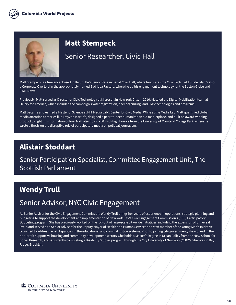

# **Matt Stempeck**

#### Senior Researcher, Civic Hall

Matt Stempeck is a freelancer based in Berlin. He's Senior Researcher at Civic Hall, where he curates the Civic Tech Field Guide. Matt's also a Corporate Overlord in the appropriately-named Bad Idea Factory, where he builds engagement technology for the Boston Globe and STAT News.

Previously, Matt served as Director of Civic Technology at Microsoft in New York City. In 2016, Matt led the Digital Mobilization team at Hillary for America, which included the campaign's voter registration, peer organizing, and SMS technologies and programs.

Matt became and earned a Master of Science at MIT Media Lab's Center for Civic Media. While at the Media Lab, Matt quantified global media attention to stories like Trayvon Martin's, designed a peer-to-peer humanitarian aid marketplace, and built an award-winning product to fight misinformation online. Matt also holds a BA with high honors from the University of Maryland College Park, where he wrote a thesis on the disruptive role of participatory media on political journalism.

#### **Alistair Stoddart**

#### Senior Participation Specialist, Committee Engagement Unit, The Scottish Parliament

#### **Wendy Trull**

#### Senior Advisor, NYC Civic Engagement

As Senior Advisor for the Civic Engagement Commission, Wendy Trull brings her years of experience in operations, strategic planning and budgeting to support the development and implementation of New York City's Civic Engagement Commission's (CEC) Participatory Budgeting program. She has previously worked on the roll-out of large-scale city-wide initiatives, including the expansion of Universal Pre-K and served as a Senior Advisor for the Deputy Mayor of Health and Human Services and staff member of the Young Men's Initiative, launched to address racial disparities in the educational and criminal justice systems. Prior to joining city government, she worked in the non-profit supportive housing and community development sectors. She holds a Master's Degree in Urban Policy from the New School for Social Research, and is currently completing a Disability Studies program through the City University of New York (CUNY). She lives in Bay Ridge, Brooklyn.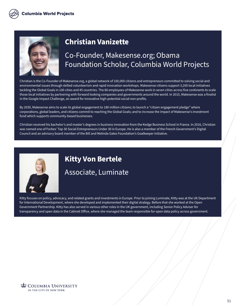

## **Christian Vanizette**

#### Co-Founder, Makesense.org; Obama Foundation Scholar, Columbia World Projects

Christian is the Co-Founder of Makesense.org, a global network of 100,000 citizens and entrepreneurs committed to solving social and environmental issues through skilled volunteerism and rapid innovation workshops. Makesense citizens support 3,200 local initiatives tackling the Global Goals in 100 cities and 45 countries. The 80 employees of Makesense work in seven cities across five continents to scale those local initiatives by partnering with forward looking companies and governments around the world. In 2015, Makesense was a finalist in the Google Impact Challenge, an award for innovative high-potential social non-profits.

By 2030, Makesense aims to scale its global engagement to 180 million citizens; to launch a "citizen engagement pledge" where corporations, global leaders, and citizens commit to reaching the Global Goals; and to increase the impact of Makesense's investment fund which supports community-based businesses.

Christian received his bachelor's and master's degrees in business innovation from the Kedge Business School in France. In 2016, Christian was named one of Forbes' Top 30 Social Entrepreneurs Under 30 in Europe. He is also a member of the French Government's Digital Council and an advisory board member of the Bill and Melinda Gates Foundation's Goalkeeper Initiative.



# **Kitty Von Bertele** Associate, Luminate

Kitty focuses on policy, advocacy, and related grants and investments in Europe. Prior to joining Luminate, Kitty was at the UK Department for International Development, where she developed and implemented their digital strategy. Before that she worked at the Open Government Partnership. Kitty has also served in various other roles in the UK government, including Senior Policy Adviser for transparency and open data in the Cabinet Office, where she managed the team responsible for open data policy across government.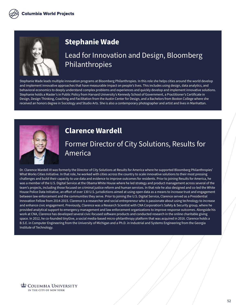

#### **Stephanie Wade**

Lead for Innovation and Design, Bloomberg Philanthropies

Stephanie Wade leads multiple innovation programs at Bloomberg Philanthropies. In this role she helps cities around the world develop and implement innovative approaches that have measurable impact on people's lives. This includes using design, data analytics, and behavioral economics to deeply understand complex problems and experiences and quickly develop and implement innovative solutions. Stephanie holds a Master's in Public Policy from Harvard University's Kennedy School of Government, a Practitioner's Certificate in Design, Design Thinking, Coaching and Facilitation from the Austin Center for Design, and a Bachelors from Boston College where she received an honors degree in Sociology and Studio Arts. She is also a contemporary photographer and artist and lives in Manhattan.



#### **Clarence Wardell**

## Former Director of City Solutions, Results for America

Dr. Clarence Wardell III was formerly the Director of City Solutions at Results for America where he supported Bloomberg Philanthropies' What Works Cities Initiative. In that role, he worked with cities across the country to scale innovative solutions to their most pressing challenges and build their capacity to use data and evidence to improve outcomes for residents. Prior to joining Results for America, he was a member of the U.S. Digital Service at the Obama White House where he led strategy and product management across several of the team's projects, including those focused on criminal justice reform and human services. In that role he also designed and co-led the White House Police Data Initiative, an effort of over 130 U.S. jurisdictions aimed at using open data as a means to increase trust and engagement between law enforcement and the communities they serve. Prior to joining the U.S. Digital Service, Clarence served as a Presidential Innovation Fellow from 2014-2015. Clarence is a researcher and social entrepreneur who is passionate about using technology to increase and enhance civic engagement. Previously, Clarence was a Research Scientist with CNA Corporation's Safety & Security group, where he provided analytical support to emergency management and law enforcement organizations to improve response outcomes. Alongside his work at CNA, Clarence has developed several civic-focused software products and conducted research in the online charitable giving space. In 2012, he co-founded tinyGive, a social media-based micro-philanthropy platform that was acquired in 2016. Clarence holds a B.S.E. in Computer Engineering from the University of Michigan and a Ph.D. in Industrial and Systems Engineering from the Georgia Institute of Technology.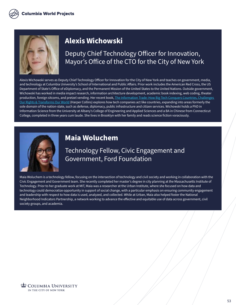

#### **Alexis Wichowski**

Deputy Chief Technology Officer for Innovation, Mayor's Office of the CTO for the City of New York

Alexis Wichowski serves as Deputy Chief Technology Officer for Innovation for the City of New York and teaches on government, media, and technology at Columbia University's School of International and Public Affairs. Prior work includes the American Red Cross, the US Department of State's Office of eDiplomacy, and the Permanent Mission of the United States to the United Nations. Outside government, Wichowski has worked in media impact research, information architecture development, academic book indexing, web coding, theater production, foreign sitcoms, and pretzel vending. Her recent book, The Information Trade: How Big Tech Conquers Countries, Challenges [Our Rights & Transforms Our World](https://www.harpercollins.com/products/the-information-trade-alexis-wichowski?variant=32123338883106) (Harper Collins) explores how tech companies act like countries, expanding into areas formerly the sole domain of the nation-state, such as defense, diplomacy, public infrastructure and citizen services. Wichowski holds a PhD in Information Science from the University at Albany's College of Engineering and Applied Sciences and a BA in Chinese from Connecticut College, completed in three years cum laude. She lives in Brooklyn with her family and reads science fiction voraciously.



#### **Maia Woluchem**

#### Technology Fellow, Civic Engagement and Government, Ford Foundation

Maia Woluchem is a technology fellow, focusing on the intersection of technology and civil society and working in collaboration with the Civic Engagement and Government team. She recently completed her master's degree in city planning at the Massachusetts Institute of Technology. Prior to her graduate work at MIT, Maia was a researcher at the Urban Institute, where she focused on how data and technology could democratize opportunity in support of social change, with a particular emphasis on ensuring community engagement and leadership with respect to how data is used, analyzed, and collected. While at Urban, Maia also helped foster the National Neighborhood Indicators Partnership, a network working to advance the effective and equitable use of data across government, civil society groups, and academia.